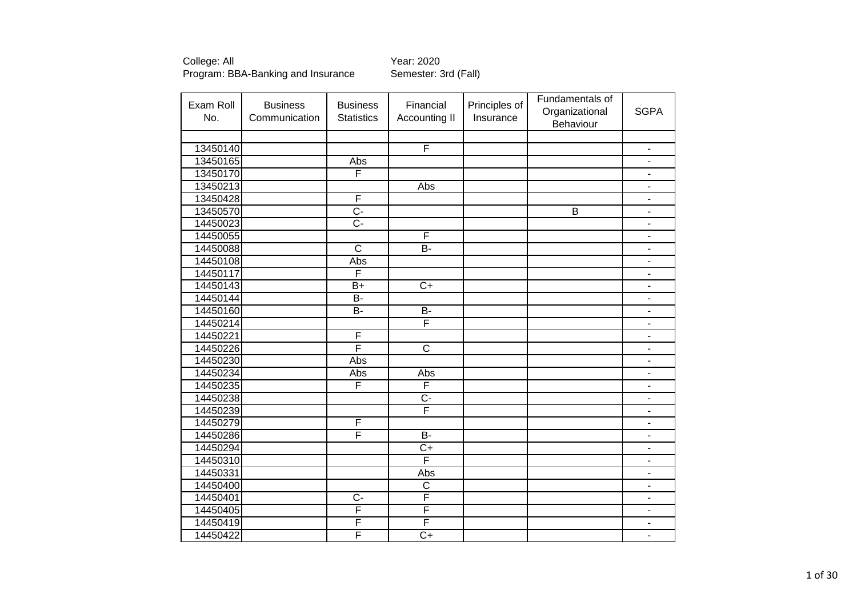| Exam Roll | <b>Business</b> | <b>Business</b>         | Financial               | Principles of | Fundamentals of<br>Organizational | <b>SGPA</b>                  |
|-----------|-----------------|-------------------------|-------------------------|---------------|-----------------------------------|------------------------------|
| No.       | Communication   | <b>Statistics</b>       | Accounting II           | Insurance     | Behaviour                         |                              |
|           |                 |                         |                         |               |                                   |                              |
| 13450140  |                 |                         | F                       |               |                                   | $\qquad \qquad \blacksquare$ |
| 13450165  |                 | Abs                     |                         |               |                                   | $\overline{\phantom{a}}$     |
| 13450170  |                 | F                       |                         |               |                                   | $\qquad \qquad \blacksquare$ |
| 13450213  |                 |                         | Abs                     |               |                                   | $\blacksquare$               |
| 13450428  |                 | F                       |                         |               |                                   | $\blacksquare$               |
| 13450570  |                 | $\overline{C}$          |                         |               | $\overline{B}$                    | $\overline{\phantom{0}}$     |
| 14450023  |                 | $\overline{C}$          |                         |               |                                   | $\blacksquare$               |
| 14450055  |                 |                         | F                       |               |                                   | $\overline{a}$               |
| 14450088  |                 | $\overline{\mathsf{c}}$ | $\overline{B}$          |               |                                   | ä,                           |
| 14450108  |                 | Abs                     |                         |               |                                   | ÷,                           |
| 14450117  |                 | F                       |                         |               |                                   | $\overline{a}$               |
| 14450143  |                 | $B+$                    | $C+$                    |               |                                   | $\qquad \qquad \blacksquare$ |
| 14450144  |                 | <b>B-</b>               |                         |               |                                   | $\qquad \qquad \blacksquare$ |
| 14450160  |                 | $B -$                   | $\overline{B}$          |               |                                   | $\overline{\phantom{m}}$     |
| 14450214  |                 |                         | F                       |               |                                   | $\blacksquare$               |
| 14450221  |                 | $\overline{\mathsf{F}}$ |                         |               |                                   | $\blacksquare$               |
| 14450226  |                 | F                       | $\overline{\text{c}}$   |               |                                   | $\blacksquare$               |
| 14450230  |                 | Abs                     |                         |               |                                   | L,                           |
| 14450234  |                 | Abs                     | Abs                     |               |                                   | $\blacksquare$               |
| 14450235  |                 | F                       | $\overline{\mathsf{F}}$ |               |                                   | $\overline{\phantom{0}}$     |
| 14450238  |                 |                         | $\overline{C}$ -        |               |                                   | L.                           |
| 14450239  |                 |                         | F                       |               |                                   | ÷                            |
| 14450279  |                 | F                       |                         |               |                                   | L,                           |
| 14450286  |                 | F                       | $\overline{B}$          |               |                                   | ÷                            |
| 14450294  |                 |                         | $\overline{C+}$         |               |                                   | $\qquad \qquad \blacksquare$ |
| 14450310  |                 |                         | F                       |               |                                   | $\blacksquare$               |
| 14450331  |                 |                         | Abs                     |               |                                   | $\qquad \qquad \blacksquare$ |
| 14450400  |                 |                         | $\overline{C}$          |               |                                   | $\qquad \qquad \blacksquare$ |
| 14450401  |                 | Ç-                      | F                       |               |                                   | $\blacksquare$               |
| 14450405  |                 | $\overline{\mathsf{F}}$ | F                       |               |                                   | ÷                            |
| 14450419  |                 | F                       | F                       |               |                                   | ÷                            |
| 14450422  |                 | F                       | $\overline{C+}$         |               |                                   | $\overline{\phantom{a}}$     |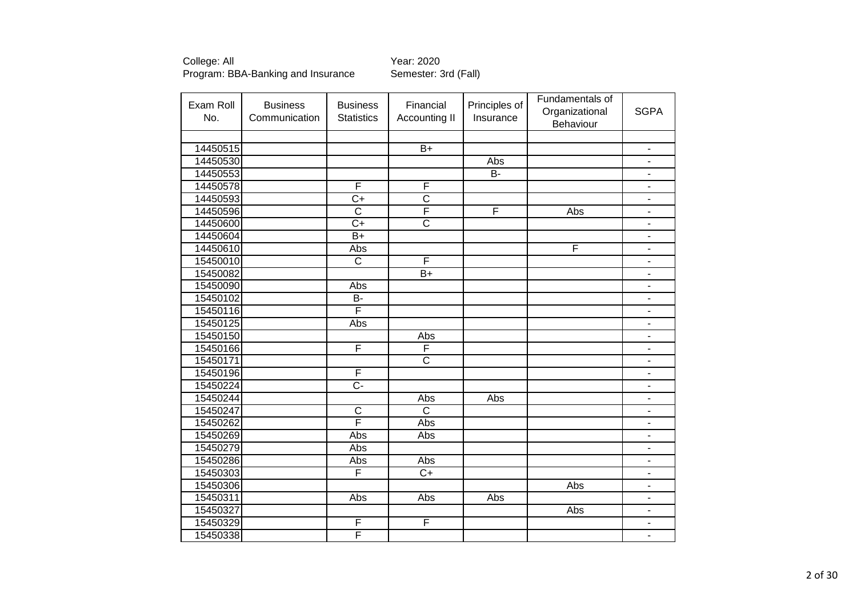| Exam Roll<br>No. | <b>Business</b><br>Communication | <b>Business</b><br><b>Statistics</b> | Financial<br>Accounting II | Principles of<br>Insurance | Fundamentals of<br>Organizational<br>Behaviour | <b>SGPA</b>                  |
|------------------|----------------------------------|--------------------------------------|----------------------------|----------------------------|------------------------------------------------|------------------------------|
|                  |                                  |                                      |                            |                            |                                                |                              |
| 14450515         |                                  |                                      | $B+$                       |                            |                                                | $\qquad \qquad \blacksquare$ |
| 14450530         |                                  |                                      |                            | <b>Abs</b>                 |                                                | $\overline{\phantom{0}}$     |
| 14450553         |                                  |                                      |                            | $B -$                      |                                                | $\blacksquare$               |
| 14450578         |                                  | F                                    | F                          |                            |                                                | $\blacksquare$               |
| 14450593         |                                  | $C+$                                 | $\overline{\text{c}}$      |                            |                                                | $\overline{\phantom{a}}$     |
| 14450596         |                                  | $\overline{\text{c}}$                | F                          | F                          | Abs                                            | $\blacksquare$               |
| 14450600         |                                  | $C+$                                 | $\overline{\text{c}}$      |                            |                                                | $\blacksquare$               |
| 14450604         |                                  | $\overline{B+}$                      |                            |                            |                                                |                              |
| 14450610         |                                  | Abs                                  |                            |                            | F                                              | ä,                           |
| 15450010         |                                  | $\overline{\text{c}}$                | F                          |                            |                                                | ä,                           |
| 15450082         |                                  |                                      | $\overline{B+}$            |                            |                                                | $\blacksquare$               |
| 15450090         |                                  | Abs                                  |                            |                            |                                                | $\overline{\phantom{a}}$     |
| 15450102         |                                  | $B -$                                |                            |                            |                                                | $\qquad \qquad \blacksquare$ |
| 15450116         |                                  | F                                    |                            |                            |                                                | $\qquad \qquad \blacksquare$ |
| 15450125         |                                  | Abs                                  |                            |                            |                                                | $\overline{\phantom{m}}$     |
| 15450150         |                                  |                                      | Abs                        |                            |                                                | $\qquad \qquad \blacksquare$ |
| 15450166         |                                  | F                                    | F                          |                            |                                                | $\qquad \qquad \blacksquare$ |
| 15450171         |                                  |                                      | $\overline{\text{C}}$      |                            |                                                | $\blacksquare$               |
| 15450196         |                                  | F                                    |                            |                            |                                                | ä,                           |
| 15450224         |                                  | $\overline{C}$ -                     |                            |                            |                                                | $\blacksquare$               |
| 15450244         |                                  |                                      | Abs                        | Abs                        |                                                | $\overline{\phantom{a}}$     |
| 15450247         |                                  | $\overline{\text{c}}$                | $\overline{\text{c}}$      |                            |                                                |                              |
| 15450262         |                                  | F                                    | Abs                        |                            |                                                | $\overline{\phantom{a}}$     |
| 15450269         |                                  | Abs                                  | Abs                        |                            |                                                | Ĭ.                           |
| 15450279         |                                  | Abs                                  |                            |                            |                                                | $\overline{\phantom{a}}$     |
| 15450286         |                                  | Abs                                  | Abs                        |                            |                                                | $\blacksquare$               |
| 15450303         |                                  | F                                    | $\overline{C+}$            |                            |                                                | $\overline{\phantom{a}}$     |
| 15450306         |                                  |                                      |                            |                            | Abs                                            | $\overline{\phantom{m}}$     |
| 15450311         |                                  | Abs                                  | Abs                        | Abs                        |                                                | $\qquad \qquad \blacksquare$ |
| 15450327         |                                  |                                      |                            |                            | Abs                                            | $\qquad \qquad \blacksquare$ |
| 15450329         |                                  | $\overline{F}$                       | F                          |                            |                                                | $\blacksquare$               |
| 15450338         |                                  | F                                    |                            |                            |                                                | $\qquad \qquad \blacksquare$ |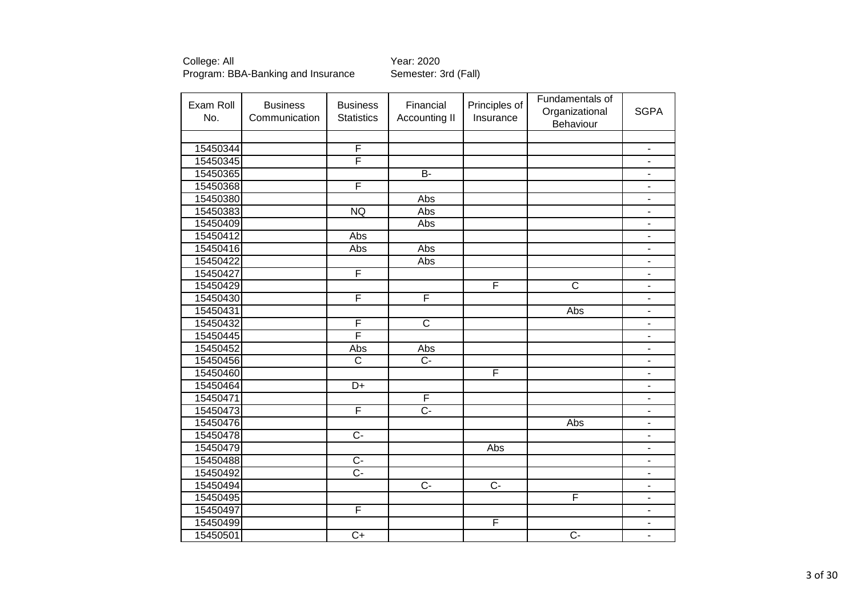College: All <br>Program: BBA-Banking and Insurance Semester: 3rd (Fall) Program: BBA-Banking and Insurance

| Exam Roll | <b>Business</b> | <b>Business</b>   | Financial               | Principles of  | Fundamentals of<br>Organizational | <b>SGPA</b>                  |
|-----------|-----------------|-------------------|-------------------------|----------------|-----------------------------------|------------------------------|
| No.       | Communication   | <b>Statistics</b> | Accounting II           | Insurance      | Behaviour                         |                              |
|           |                 |                   |                         |                |                                   |                              |
| 15450344  |                 | $\overline{F}$    |                         |                |                                   | $\overline{\phantom{a}}$     |
| 15450345  |                 | F                 |                         |                |                                   | $\qquad \qquad \blacksquare$ |
| 15450365  |                 |                   | $B -$                   |                |                                   | $\overline{\phantom{a}}$     |
| 15450368  |                 | F                 |                         |                |                                   | $\blacksquare$               |
| 15450380  |                 |                   | Abs                     |                |                                   | $\overline{\phantom{a}}$     |
| 15450383  |                 | <b>NQ</b>         | Abs                     |                |                                   | $\overline{\phantom{a}}$     |
| 15450409  |                 |                   | Abs                     |                |                                   | $\blacksquare$               |
| 15450412  |                 | Abs               |                         |                |                                   | $\overline{\phantom{a}}$     |
| 15450416  |                 | Abs               | Abs                     |                |                                   | $\overline{\phantom{a}}$     |
| 15450422  |                 |                   | Abs                     |                |                                   | $\overline{\phantom{a}}$     |
| 15450427  |                 | F                 |                         |                |                                   | $\blacksquare$               |
| 15450429  |                 |                   |                         | F              | $\mathsf{C}$                      | $\blacksquare$               |
| 15450430  |                 | F                 | F                       |                |                                   | $\overline{\phantom{a}}$     |
| 15450431  |                 |                   |                         |                | Abs                               | $\blacksquare$               |
| 15450432  |                 | F                 | $\overline{C}$          |                |                                   | $\overline{\phantom{a}}$     |
| 15450445  |                 | F                 |                         |                |                                   | $\qquad \qquad \blacksquare$ |
| 15450452  |                 | Abs               | Abs                     |                |                                   | $\overline{\phantom{a}}$     |
| 15450456  |                 | $\overline{C}$    | $\overline{C}$          |                |                                   | $\qquad \qquad \blacksquare$ |
| 15450460  |                 |                   |                         | F              |                                   | $\blacksquare$               |
| 15450464  |                 | $\overline{D+}$   |                         |                |                                   | $\qquad \qquad \blacksquare$ |
| 15450471  |                 |                   | $\overline{\mathsf{F}}$ |                |                                   | $\overline{a}$               |
| 15450473  |                 | F                 | $\overline{C}$ -        |                |                                   | $\qquad \qquad \blacksquare$ |
| 15450476  |                 |                   |                         |                | Abs                               | ä,                           |
| 15450478  |                 | $\overline{C}$ -  |                         |                |                                   | $\overline{a}$               |
| 15450479  |                 |                   |                         | Abs            |                                   | $\blacksquare$               |
| 15450488  |                 | $\overline{C}$    |                         |                |                                   | $\blacksquare$               |
| 15450492  |                 | $\overline{C}$    |                         |                |                                   | $\overline{\phantom{a}}$     |
| 15450494  |                 |                   | $\overline{C}$          | $\overline{C}$ |                                   | $\qquad \qquad \blacksquare$ |
| 15450495  |                 |                   |                         |                | F                                 | $\qquad \qquad \blacksquare$ |
| 15450497  |                 | F                 |                         |                |                                   | $\qquad \qquad \blacksquare$ |
| 15450499  |                 |                   |                         | F              |                                   | $\overline{\phantom{a}}$     |
| 15450501  |                 | $\overline{C+}$   |                         |                | $\overline{C}$                    | $\qquad \qquad \blacksquare$ |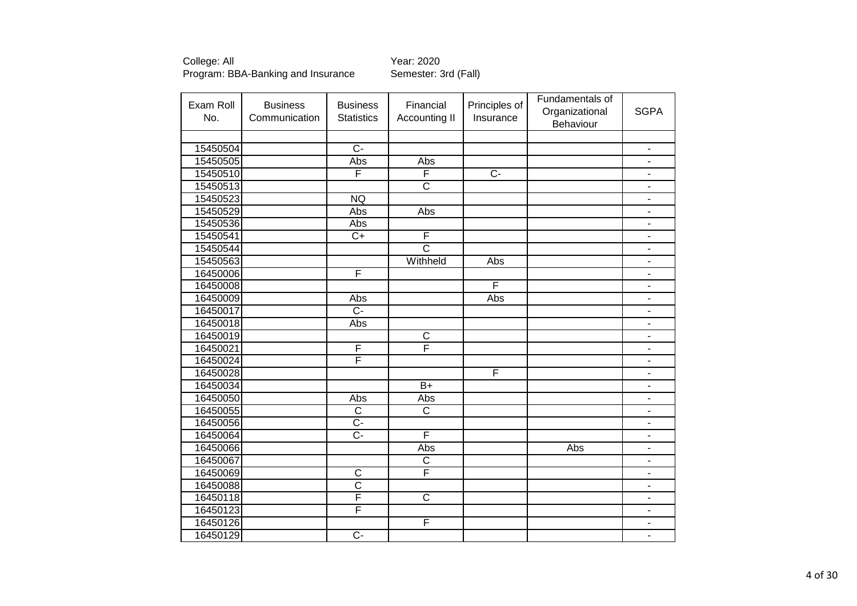| Exam Roll<br>No. | <b>Business</b><br>Communication | <b>Business</b><br><b>Statistics</b> | Financial<br>Accounting II | Principles of<br>Insurance | Fundamentals of<br>Organizational<br>Behaviour | <b>SGPA</b>                  |
|------------------|----------------------------------|--------------------------------------|----------------------------|----------------------------|------------------------------------------------|------------------------------|
|                  |                                  |                                      |                            |                            |                                                |                              |
| 15450504         |                                  | $\overline{C}$                       |                            |                            |                                                | $\overline{\phantom{a}}$     |
| 15450505         |                                  | Abs                                  | Abs                        |                            |                                                | $\blacksquare$               |
| 15450510         |                                  | $\overline{\mathsf{F}}$              | F                          | $\overline{C}$             |                                                | $\qquad \qquad \blacksquare$ |
| 15450513         |                                  |                                      | $\overline{\mathsf{c}}$    |                            |                                                | $\overline{\phantom{a}}$     |
| 15450523         |                                  | <b>NQ</b>                            |                            |                            |                                                | $\blacksquare$               |
| 15450529         |                                  | Abs                                  | Abs                        |                            |                                                | $\blacksquare$               |
| 15450536         |                                  | Abs                                  |                            |                            |                                                | $\qquad \qquad \blacksquare$ |
| 15450541         |                                  | $\overline{C}$                       | F                          |                            |                                                | $\blacksquare$               |
| 15450544         |                                  |                                      | $\overline{\text{c}}$      |                            |                                                | $\overline{\phantom{a}}$     |
| 15450563         |                                  |                                      | Withheld                   | Abs                        |                                                | $\blacksquare$               |
| 16450006         |                                  | F                                    |                            |                            |                                                | $\blacksquare$               |
| 16450008         |                                  |                                      |                            | F                          |                                                | $\qquad \qquad \blacksquare$ |
| 16450009         |                                  | Abs                                  |                            | Abs                        |                                                | $\blacksquare$               |
| 16450017         |                                  | $\overline{C}$                       |                            |                            |                                                | $\overline{\phantom{a}}$     |
| 16450018         |                                  | Abs                                  |                            |                            |                                                | $\overline{\phantom{a}}$     |
| 16450019         |                                  |                                      | $\overline{C}$             |                            |                                                | $\overline{\phantom{a}}$     |
| 16450021         |                                  | F                                    | F                          |                            |                                                | $\blacksquare$               |
| 16450024         |                                  | F                                    |                            |                            |                                                | $\blacksquare$               |
| 16450028         |                                  |                                      |                            | $\overline{F}$             |                                                | $\blacksquare$               |
| 16450034         |                                  |                                      | $B+$                       |                            |                                                | $\overline{\phantom{a}}$     |
| 16450050         |                                  | Abs                                  | Abs                        |                            |                                                | $\qquad \qquad \blacksquare$ |
| 16450055         |                                  | $\overline{\text{c}}$                | $\overline{\mathsf{c}}$    |                            |                                                | $\blacksquare$               |
| 16450056         |                                  | $\overline{C}$                       |                            |                            |                                                | $\blacksquare$               |
| 16450064         |                                  | $\overline{C}$                       | F                          |                            |                                                | $\blacksquare$               |
| 16450066         |                                  |                                      | Abs                        |                            | Abs                                            | $\overline{\phantom{a}}$     |
| 16450067         |                                  |                                      | $\overline{\text{c}}$      |                            |                                                | $\overline{\phantom{a}}$     |
| 16450069         |                                  | $\overline{C}$                       | $\overline{\mathsf{F}}$    |                            |                                                | $\overline{\phantom{a}}$     |
| 16450088         |                                  | $\overline{\text{c}}$                |                            |                            |                                                | $\overline{\phantom{a}}$     |
| 16450118         |                                  | $\overline{\mathsf{F}}$              | $\overline{\text{c}}$      |                            |                                                | -                            |
| 16450123         |                                  | $\overline{\mathsf{F}}$              |                            |                            |                                                | $\blacksquare$               |
| 16450126         |                                  |                                      | F                          |                            |                                                | $\overline{\phantom{0}}$     |
| 16450129         |                                  | $\overline{C}$                       |                            |                            |                                                | $\blacksquare$               |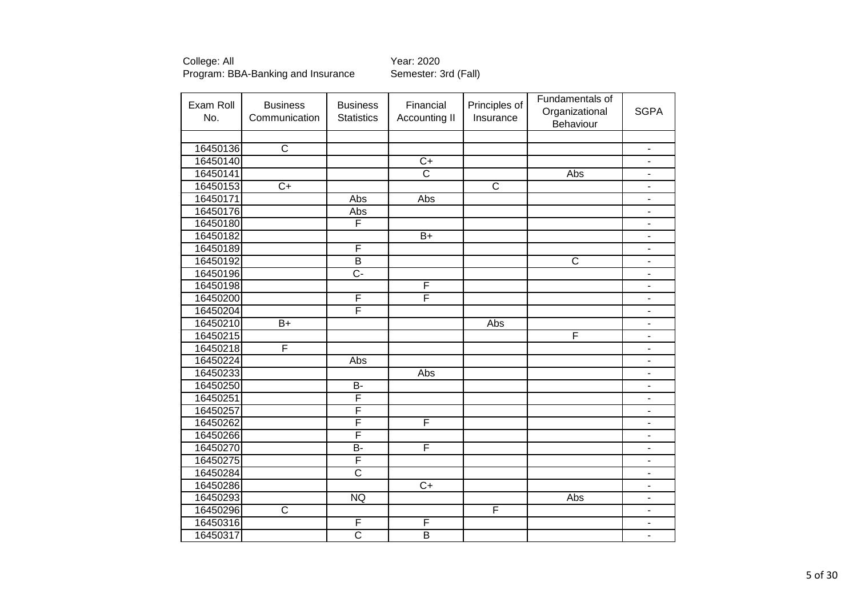| Exam Roll<br>No. | <b>Business</b><br>Communication | <b>Business</b><br><b>Statistics</b> | Financial<br>Accounting II | Principles of<br>Insurance | Fundamentals of<br>Organizational<br>Behaviour | <b>SGPA</b>                  |
|------------------|----------------------------------|--------------------------------------|----------------------------|----------------------------|------------------------------------------------|------------------------------|
|                  |                                  |                                      |                            |                            |                                                |                              |
| 16450136         | $\overline{C}$                   |                                      |                            |                            |                                                | $\overline{\phantom{a}}$     |
| 16450140         |                                  |                                      | $C+$                       |                            |                                                | $\overline{\phantom{m}}$     |
| 16450141         |                                  |                                      | $\overline{\text{c}}$      |                            | Abs                                            | $\qquad \qquad \blacksquare$ |
| 16450153         | $\overline{C+}$                  |                                      |                            | $\overline{\text{c}}$      |                                                | $\blacksquare$               |
| 16450171         |                                  | Abs                                  | Abs                        |                            |                                                | $\blacksquare$               |
| 16450176         |                                  | Abs                                  |                            |                            |                                                | $\blacksquare$               |
| 16450180         |                                  | F                                    |                            |                            |                                                | $\qquad \qquad \blacksquare$ |
| 16450182         |                                  |                                      | $\overline{B+}$            |                            |                                                | $\blacksquare$               |
| 16450189         |                                  | $\overline{\mathsf{F}}$              |                            |                            |                                                | $\qquad \qquad \blacksquare$ |
| 16450192         |                                  | B                                    |                            |                            | $\mathsf{C}$                                   | $\qquad \qquad \blacksquare$ |
| 16450196         |                                  | $\overline{C}$                       |                            |                            |                                                | ÷,                           |
| 16450198         |                                  |                                      | F                          |                            |                                                | $\blacksquare$               |
| 16450200         |                                  | F                                    | F                          |                            |                                                | $\overline{\phantom{a}}$     |
| 16450204         |                                  | $\overline{\mathsf{F}}$              |                            |                            |                                                | $\blacksquare$               |
| 16450210         | $B+$                             |                                      |                            | Abs                        |                                                | $\qquad \qquad \blacksquare$ |
| 16450215         |                                  |                                      |                            |                            | F                                              | $\overline{\phantom{a}}$     |
| 16450218         | F                                |                                      |                            |                            |                                                | $\blacksquare$               |
| 16450224         |                                  | Abs                                  |                            |                            |                                                | $\blacksquare$               |
| 16450233         |                                  |                                      | Abs                        |                            |                                                | $\blacksquare$               |
| 16450250         |                                  | $\overline{B}$                       |                            |                            |                                                | $\blacksquare$               |
| 16450251         |                                  | F                                    |                            |                            |                                                | $\overline{\phantom{a}}$     |
| 16450257         |                                  | F                                    |                            |                            |                                                | $\frac{1}{2}$                |
| 16450262         |                                  | F                                    | F                          |                            |                                                | $\blacksquare$               |
| 16450266         |                                  | F                                    |                            |                            |                                                | $\qquad \qquad \blacksquare$ |
| 16450270         |                                  | $\overline{B}$                       | F                          |                            |                                                | $\blacksquare$               |
| 16450275         |                                  | F                                    |                            |                            |                                                | $\blacksquare$               |
| 16450284         |                                  | $\overline{\mathsf{c}}$              |                            |                            |                                                | $\overline{\phantom{a}}$     |
| 16450286         |                                  |                                      | $\overline{C+}$            |                            |                                                | $\blacksquare$               |
| 16450293         |                                  | <b>NQ</b>                            |                            |                            | Abs                                            | $\qquad \qquad \blacksquare$ |
| 16450296         | $\overline{C}$                   |                                      |                            | F                          |                                                | $\overline{\phantom{a}}$     |
| 16450316         |                                  | $\overline{F}$                       | F                          |                            |                                                | $\qquad \qquad \blacksquare$ |
| 16450317         |                                  | $\overline{\text{c}}$                | $\overline{\mathsf{B}}$    |                            |                                                | $\blacksquare$               |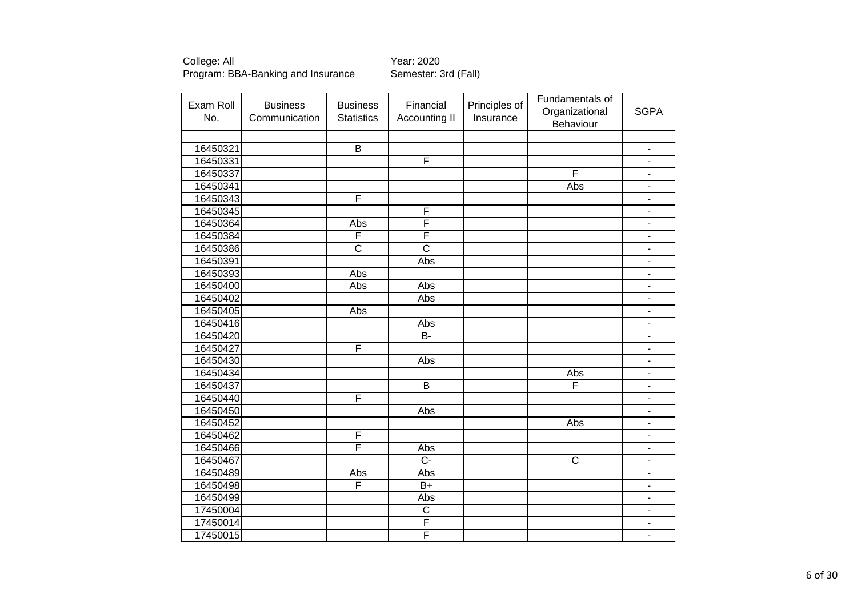| No.<br>Communication<br><b>Statistics</b><br>Accounting II<br>Insurance<br>Behaviour<br>$\overline{B}$<br>16450321<br>$\qquad \qquad \blacksquare$<br>F<br>16450331<br>$\blacksquare$<br>16450337<br>F<br>$\qquad \qquad \blacksquare$<br>16450341<br>Abs<br>$\overline{a}$<br>F<br>16450343<br>$\qquad \qquad \blacksquare$<br>F<br>16450345<br>$\blacksquare$<br>F<br>16450364<br>Abs<br>$\frac{1}{2}$<br>F<br>F<br>16450384<br>$\overline{\phantom{a}}$<br>$\overline{\text{c}}$<br>$\overline{\text{c}}$<br>16450386<br>$\overline{\phantom{a}}$<br>16450391<br>Abs<br>$\blacksquare$<br>16450393<br>Abs<br>÷<br>16450400<br>Abs<br>Abs<br>$\blacksquare$<br>16450402<br>Abs<br>$\overline{a}$<br>16450405<br>Abs<br>$\overline{\phantom{m}}$<br>16450416<br>Abs<br>$\qquad \qquad \blacksquare$<br>16450420<br><b>B-</b><br>$\overline{\phantom{0}}$<br>F<br>16450427<br>$\blacksquare$<br>16450430<br>Abs<br>ä,<br>16450434<br>Abs<br>÷<br>F<br>$\overline{B}$<br>16450437<br>$\overline{\phantom{a}}$<br>F<br>16450440<br>$\overline{\phantom{a}}$<br>16450450<br>Abs<br>$\overline{\phantom{a}}$<br>16450452<br>Abs<br>ä,<br>F<br>16450462<br>÷,<br>F<br>16450466<br>Abs<br>÷<br>$\overline{C}$<br>$\overline{\mathsf{C}}$<br>16450467<br>$\blacksquare$<br>16450489<br>Abs<br>Abs<br>$\overline{\phantom{m}}$<br>$\overline{F}$<br>16450498<br>$B+$<br>$\qquad \qquad \blacksquare$<br>16450499<br>Abs<br>$\blacksquare$<br>$\overline{\text{c}}$<br>17450004<br>$\qquad \qquad \blacksquare$<br>F<br>17450014<br>$\overline{\phantom{a}}$ | Exam Roll | <b>Business</b> | <b>Business</b> | Financial | Principles of | Fundamentals of |             |
|-----------------------------------------------------------------------------------------------------------------------------------------------------------------------------------------------------------------------------------------------------------------------------------------------------------------------------------------------------------------------------------------------------------------------------------------------------------------------------------------------------------------------------------------------------------------------------------------------------------------------------------------------------------------------------------------------------------------------------------------------------------------------------------------------------------------------------------------------------------------------------------------------------------------------------------------------------------------------------------------------------------------------------------------------------------------------------------------------------------------------------------------------------------------------------------------------------------------------------------------------------------------------------------------------------------------------------------------------------------------------------------------------------------------------------------------------------------------------------------------------------------------------------------------------------|-----------|-----------------|-----------------|-----------|---------------|-----------------|-------------|
|                                                                                                                                                                                                                                                                                                                                                                                                                                                                                                                                                                                                                                                                                                                                                                                                                                                                                                                                                                                                                                                                                                                                                                                                                                                                                                                                                                                                                                                                                                                                                     |           |                 |                 |           |               | Organizational  | <b>SGPA</b> |
|                                                                                                                                                                                                                                                                                                                                                                                                                                                                                                                                                                                                                                                                                                                                                                                                                                                                                                                                                                                                                                                                                                                                                                                                                                                                                                                                                                                                                                                                                                                                                     |           |                 |                 |           |               |                 |             |
|                                                                                                                                                                                                                                                                                                                                                                                                                                                                                                                                                                                                                                                                                                                                                                                                                                                                                                                                                                                                                                                                                                                                                                                                                                                                                                                                                                                                                                                                                                                                                     |           |                 |                 |           |               |                 |             |
|                                                                                                                                                                                                                                                                                                                                                                                                                                                                                                                                                                                                                                                                                                                                                                                                                                                                                                                                                                                                                                                                                                                                                                                                                                                                                                                                                                                                                                                                                                                                                     |           |                 |                 |           |               |                 |             |
|                                                                                                                                                                                                                                                                                                                                                                                                                                                                                                                                                                                                                                                                                                                                                                                                                                                                                                                                                                                                                                                                                                                                                                                                                                                                                                                                                                                                                                                                                                                                                     |           |                 |                 |           |               |                 |             |
|                                                                                                                                                                                                                                                                                                                                                                                                                                                                                                                                                                                                                                                                                                                                                                                                                                                                                                                                                                                                                                                                                                                                                                                                                                                                                                                                                                                                                                                                                                                                                     |           |                 |                 |           |               |                 |             |
|                                                                                                                                                                                                                                                                                                                                                                                                                                                                                                                                                                                                                                                                                                                                                                                                                                                                                                                                                                                                                                                                                                                                                                                                                                                                                                                                                                                                                                                                                                                                                     |           |                 |                 |           |               |                 |             |
|                                                                                                                                                                                                                                                                                                                                                                                                                                                                                                                                                                                                                                                                                                                                                                                                                                                                                                                                                                                                                                                                                                                                                                                                                                                                                                                                                                                                                                                                                                                                                     |           |                 |                 |           |               |                 |             |
|                                                                                                                                                                                                                                                                                                                                                                                                                                                                                                                                                                                                                                                                                                                                                                                                                                                                                                                                                                                                                                                                                                                                                                                                                                                                                                                                                                                                                                                                                                                                                     |           |                 |                 |           |               |                 |             |
|                                                                                                                                                                                                                                                                                                                                                                                                                                                                                                                                                                                                                                                                                                                                                                                                                                                                                                                                                                                                                                                                                                                                                                                                                                                                                                                                                                                                                                                                                                                                                     |           |                 |                 |           |               |                 |             |
|                                                                                                                                                                                                                                                                                                                                                                                                                                                                                                                                                                                                                                                                                                                                                                                                                                                                                                                                                                                                                                                                                                                                                                                                                                                                                                                                                                                                                                                                                                                                                     |           |                 |                 |           |               |                 |             |
|                                                                                                                                                                                                                                                                                                                                                                                                                                                                                                                                                                                                                                                                                                                                                                                                                                                                                                                                                                                                                                                                                                                                                                                                                                                                                                                                                                                                                                                                                                                                                     |           |                 |                 |           |               |                 |             |
|                                                                                                                                                                                                                                                                                                                                                                                                                                                                                                                                                                                                                                                                                                                                                                                                                                                                                                                                                                                                                                                                                                                                                                                                                                                                                                                                                                                                                                                                                                                                                     |           |                 |                 |           |               |                 |             |
|                                                                                                                                                                                                                                                                                                                                                                                                                                                                                                                                                                                                                                                                                                                                                                                                                                                                                                                                                                                                                                                                                                                                                                                                                                                                                                                                                                                                                                                                                                                                                     |           |                 |                 |           |               |                 |             |
|                                                                                                                                                                                                                                                                                                                                                                                                                                                                                                                                                                                                                                                                                                                                                                                                                                                                                                                                                                                                                                                                                                                                                                                                                                                                                                                                                                                                                                                                                                                                                     |           |                 |                 |           |               |                 |             |
|                                                                                                                                                                                                                                                                                                                                                                                                                                                                                                                                                                                                                                                                                                                                                                                                                                                                                                                                                                                                                                                                                                                                                                                                                                                                                                                                                                                                                                                                                                                                                     |           |                 |                 |           |               |                 |             |
|                                                                                                                                                                                                                                                                                                                                                                                                                                                                                                                                                                                                                                                                                                                                                                                                                                                                                                                                                                                                                                                                                                                                                                                                                                                                                                                                                                                                                                                                                                                                                     |           |                 |                 |           |               |                 |             |
|                                                                                                                                                                                                                                                                                                                                                                                                                                                                                                                                                                                                                                                                                                                                                                                                                                                                                                                                                                                                                                                                                                                                                                                                                                                                                                                                                                                                                                                                                                                                                     |           |                 |                 |           |               |                 |             |
|                                                                                                                                                                                                                                                                                                                                                                                                                                                                                                                                                                                                                                                                                                                                                                                                                                                                                                                                                                                                                                                                                                                                                                                                                                                                                                                                                                                                                                                                                                                                                     |           |                 |                 |           |               |                 |             |
|                                                                                                                                                                                                                                                                                                                                                                                                                                                                                                                                                                                                                                                                                                                                                                                                                                                                                                                                                                                                                                                                                                                                                                                                                                                                                                                                                                                                                                                                                                                                                     |           |                 |                 |           |               |                 |             |
|                                                                                                                                                                                                                                                                                                                                                                                                                                                                                                                                                                                                                                                                                                                                                                                                                                                                                                                                                                                                                                                                                                                                                                                                                                                                                                                                                                                                                                                                                                                                                     |           |                 |                 |           |               |                 |             |
|                                                                                                                                                                                                                                                                                                                                                                                                                                                                                                                                                                                                                                                                                                                                                                                                                                                                                                                                                                                                                                                                                                                                                                                                                                                                                                                                                                                                                                                                                                                                                     |           |                 |                 |           |               |                 |             |
|                                                                                                                                                                                                                                                                                                                                                                                                                                                                                                                                                                                                                                                                                                                                                                                                                                                                                                                                                                                                                                                                                                                                                                                                                                                                                                                                                                                                                                                                                                                                                     |           |                 |                 |           |               |                 |             |
|                                                                                                                                                                                                                                                                                                                                                                                                                                                                                                                                                                                                                                                                                                                                                                                                                                                                                                                                                                                                                                                                                                                                                                                                                                                                                                                                                                                                                                                                                                                                                     |           |                 |                 |           |               |                 |             |
|                                                                                                                                                                                                                                                                                                                                                                                                                                                                                                                                                                                                                                                                                                                                                                                                                                                                                                                                                                                                                                                                                                                                                                                                                                                                                                                                                                                                                                                                                                                                                     |           |                 |                 |           |               |                 |             |
|                                                                                                                                                                                                                                                                                                                                                                                                                                                                                                                                                                                                                                                                                                                                                                                                                                                                                                                                                                                                                                                                                                                                                                                                                                                                                                                                                                                                                                                                                                                                                     |           |                 |                 |           |               |                 |             |
|                                                                                                                                                                                                                                                                                                                                                                                                                                                                                                                                                                                                                                                                                                                                                                                                                                                                                                                                                                                                                                                                                                                                                                                                                                                                                                                                                                                                                                                                                                                                                     |           |                 |                 |           |               |                 |             |
|                                                                                                                                                                                                                                                                                                                                                                                                                                                                                                                                                                                                                                                                                                                                                                                                                                                                                                                                                                                                                                                                                                                                                                                                                                                                                                                                                                                                                                                                                                                                                     |           |                 |                 |           |               |                 |             |
|                                                                                                                                                                                                                                                                                                                                                                                                                                                                                                                                                                                                                                                                                                                                                                                                                                                                                                                                                                                                                                                                                                                                                                                                                                                                                                                                                                                                                                                                                                                                                     |           |                 |                 |           |               |                 |             |
|                                                                                                                                                                                                                                                                                                                                                                                                                                                                                                                                                                                                                                                                                                                                                                                                                                                                                                                                                                                                                                                                                                                                                                                                                                                                                                                                                                                                                                                                                                                                                     |           |                 |                 |           |               |                 |             |
|                                                                                                                                                                                                                                                                                                                                                                                                                                                                                                                                                                                                                                                                                                                                                                                                                                                                                                                                                                                                                                                                                                                                                                                                                                                                                                                                                                                                                                                                                                                                                     |           |                 |                 |           |               |                 |             |
|                                                                                                                                                                                                                                                                                                                                                                                                                                                                                                                                                                                                                                                                                                                                                                                                                                                                                                                                                                                                                                                                                                                                                                                                                                                                                                                                                                                                                                                                                                                                                     |           |                 |                 |           |               |                 |             |
|                                                                                                                                                                                                                                                                                                                                                                                                                                                                                                                                                                                                                                                                                                                                                                                                                                                                                                                                                                                                                                                                                                                                                                                                                                                                                                                                                                                                                                                                                                                                                     |           |                 |                 |           |               |                 |             |
|                                                                                                                                                                                                                                                                                                                                                                                                                                                                                                                                                                                                                                                                                                                                                                                                                                                                                                                                                                                                                                                                                                                                                                                                                                                                                                                                                                                                                                                                                                                                                     |           |                 |                 |           |               |                 |             |
|                                                                                                                                                                                                                                                                                                                                                                                                                                                                                                                                                                                                                                                                                                                                                                                                                                                                                                                                                                                                                                                                                                                                                                                                                                                                                                                                                                                                                                                                                                                                                     | 17450015  |                 |                 | F         |               |                 |             |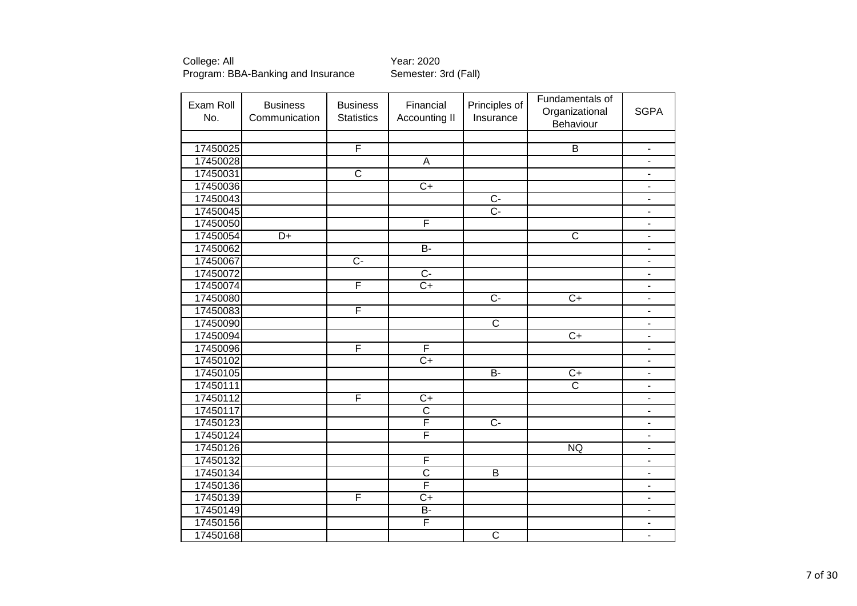| Exam Roll<br>No. | <b>Business</b><br>Communication | <b>Business</b><br><b>Statistics</b> | Financial<br>Accounting II | Principles of<br>Insurance | Fundamentals of<br>Organizational<br>Behaviour | <b>SGPA</b>              |
|------------------|----------------------------------|--------------------------------------|----------------------------|----------------------------|------------------------------------------------|--------------------------|
|                  |                                  |                                      |                            |                            |                                                |                          |
| 17450025         |                                  | F                                    |                            |                            | $\overline{B}$                                 | $\overline{\phantom{a}}$ |
| 17450028         |                                  |                                      | $\overline{A}$             |                            |                                                | $\overline{\phantom{a}}$ |
| 17450031         |                                  | $\overline{\text{c}}$                |                            |                            |                                                | $\blacksquare$           |
| 17450036         |                                  |                                      | $\overline{C}$             |                            |                                                | $\blacksquare$           |
| 17450043         |                                  |                                      |                            | $\overline{C}$             |                                                | $\blacksquare$           |
| 17450045         |                                  |                                      |                            | $\overline{C}$ -           |                                                | $\blacksquare$           |
| 17450050         |                                  |                                      | F                          |                            |                                                | $\blacksquare$           |
| 17450054         | $\overline{D+}$                  |                                      |                            |                            | $\overline{\text{c}}$                          | $\blacksquare$           |
| 17450062         |                                  |                                      | $B -$                      |                            |                                                | $\blacksquare$           |
| 17450067         |                                  | $C -$                                |                            |                            |                                                | $\overline{\phantom{a}}$ |
| 17450072         |                                  |                                      | $\overline{C}$ -           |                            |                                                | $\overline{a}$           |
| 17450074         |                                  | F                                    | $\overline{C+}$            |                            |                                                | $\overline{\phantom{a}}$ |
| 17450080         |                                  |                                      |                            | $\overline{C}$             | $C+$                                           | $\overline{\phantom{a}}$ |
| 17450083         |                                  | F                                    |                            |                            |                                                | $\overline{\phantom{a}}$ |
| 17450090         |                                  |                                      |                            | $\mathsf{C}$               |                                                | $\overline{\phantom{a}}$ |
| 17450094         |                                  |                                      |                            |                            | $\overline{C+}$                                | $\blacksquare$           |
| 17450096         |                                  | F                                    | F                          |                            |                                                | $\blacksquare$           |
| 17450102         |                                  |                                      | $\overline{C+}$            |                            |                                                | $\blacksquare$           |
| 17450105         |                                  |                                      |                            | $B -$                      | $\overline{C+}$                                | $\blacksquare$           |
| 17450111         |                                  |                                      |                            |                            | $\overline{\text{c}}$                          | $\blacksquare$           |
| 17450112         |                                  | F                                    | $\overline{C}$             |                            |                                                | $\blacksquare$           |
| 17450117         |                                  |                                      | $\overline{C}$             |                            |                                                | $\overline{\phantom{a}}$ |
| 17450123         |                                  |                                      | F                          | $\overline{C}$             |                                                | $\overline{\phantom{a}}$ |
| 17450124         |                                  |                                      | F                          |                            |                                                | $\overline{\phantom{a}}$ |
| 17450126         |                                  |                                      |                            |                            | NQ                                             | ÷,                       |
| 17450132         |                                  |                                      | F                          |                            |                                                | $\blacksquare$           |
| 17450134         |                                  |                                      | $\overline{\text{c}}$      | B                          |                                                | $\blacksquare$           |
| 17450136         |                                  |                                      | F                          |                            |                                                | $\overline{\phantom{a}}$ |
| 17450139         |                                  | F                                    | $\overline{C}$             |                            |                                                | $\blacksquare$           |
| 17450149         |                                  |                                      | <b>B-</b>                  |                            |                                                | $\blacksquare$           |
| 17450156         |                                  |                                      | F                          |                            |                                                | $\blacksquare$           |
| 17450168         |                                  |                                      |                            | $\overline{\mathsf{C}}$    |                                                | $\blacksquare$           |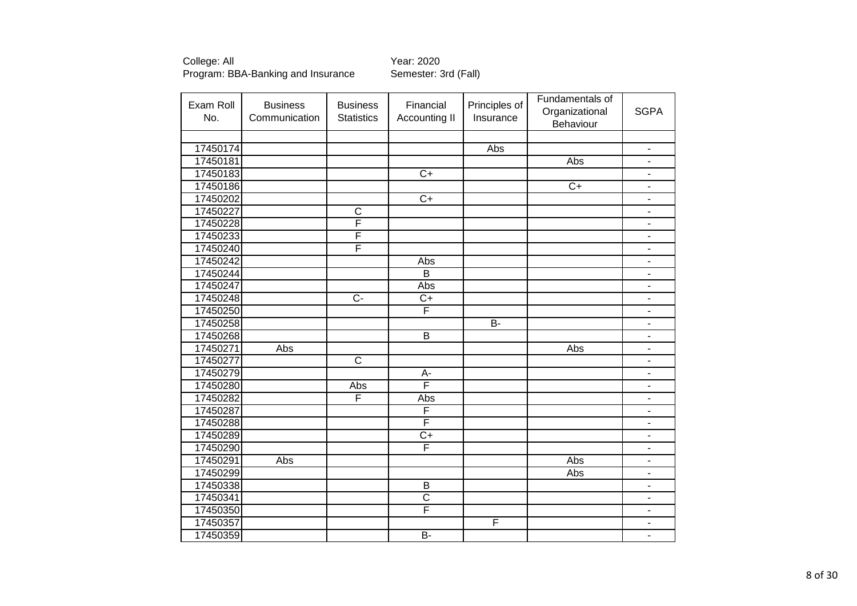| Exam Roll | <b>Business</b> | <b>Business</b>         | Financial               | Principles of | Fundamentals of             | <b>SGPA</b>                  |
|-----------|-----------------|-------------------------|-------------------------|---------------|-----------------------------|------------------------------|
| No.       | Communication   | <b>Statistics</b>       | Accounting II           | Insurance     | Organizational<br>Behaviour |                              |
|           |                 |                         |                         |               |                             |                              |
| 17450174  |                 |                         |                         | Abs           |                             | $\overline{\phantom{a}}$     |
| 17450181  |                 |                         |                         |               | Abs                         | $\overline{\phantom{0}}$     |
| 17450183  |                 |                         | $\overline{C+}$         |               |                             | $\overline{\phantom{a}}$     |
| 17450186  |                 |                         |                         |               | $\overline{C+}$             | $\blacksquare$               |
| 17450202  |                 |                         | $\overline{C+}$         |               |                             | $\blacksquare$               |
| 17450227  |                 | $\overline{\mathsf{C}}$ |                         |               |                             | $\overline{\phantom{a}}$     |
| 17450228  |                 | F                       |                         |               |                             | $\overline{\phantom{a}}$     |
| 17450233  |                 | F                       |                         |               |                             | $\overline{a}$               |
| 17450240  |                 | F                       |                         |               |                             | $\blacksquare$               |
| 17450242  |                 |                         | Abs                     |               |                             | $\overline{\phantom{a}}$     |
| 17450244  |                 |                         | $\overline{B}$          |               |                             | $\overline{\phantom{a}}$     |
| 17450247  |                 |                         | Abs                     |               |                             | $\overline{\phantom{a}}$     |
| 17450248  |                 | $\overline{C}$          | $C+$                    |               |                             | $\overline{\phantom{a}}$     |
| 17450250  |                 |                         | F                       |               |                             | $\blacksquare$               |
| 17450258  |                 |                         |                         | $B -$         |                             | $\qquad \qquad \blacksquare$ |
| 17450268  |                 |                         | $\overline{B}$          |               |                             | $\overline{\phantom{m}}$     |
| 17450271  | Abs             |                         |                         |               | Abs                         | $\blacksquare$               |
| 17450277  |                 | $\overline{\mathsf{c}}$ |                         |               |                             | $\blacksquare$               |
| 17450279  |                 |                         | $A-$                    |               |                             | $\blacksquare$               |
| 17450280  |                 | Abs                     | F                       |               |                             | ÷                            |
| 17450282  |                 | F                       | Abs                     |               |                             | $\overline{a}$               |
| 17450287  |                 |                         | $\overline{\mathsf{F}}$ |               |                             | $\overline{\phantom{a}}$     |
| 17450288  |                 |                         | F                       |               |                             | $\blacksquare$               |
| 17450289  |                 |                         | $C+$                    |               |                             | $\overline{\phantom{a}}$     |
| 17450290  |                 |                         | F                       |               |                             | $\overline{a}$               |
| 17450291  | Abs             |                         |                         |               | Abs                         | $\blacksquare$               |
| 17450299  |                 |                         |                         |               | Abs                         | $\overline{\phantom{a}}$     |
| 17450338  |                 |                         | $\overline{B}$          |               |                             | ÷                            |
| 17450341  |                 |                         | $\overline{\text{c}}$   |               |                             | $\qquad \qquad \blacksquare$ |
| 17450350  |                 |                         | F                       |               |                             | $\qquad \qquad \blacksquare$ |
| 17450357  |                 |                         |                         | F             |                             | ä,                           |
| 17450359  |                 |                         | $B -$                   |               |                             | $\blacksquare$               |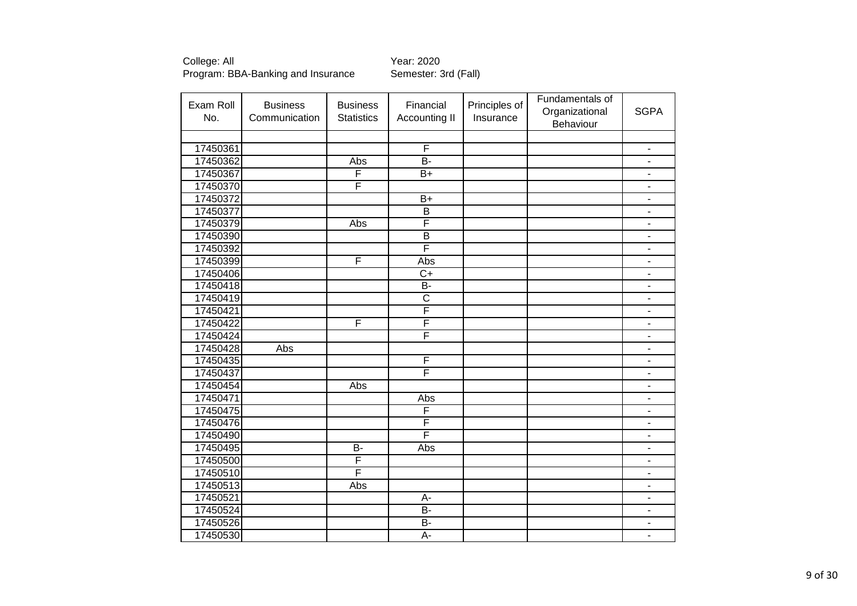| Exam Roll<br>No. | <b>Business</b><br>Communication | <b>Business</b><br><b>Statistics</b> | Financial<br>Accounting II | Principles of<br>Insurance | Fundamentals of<br>Organizational | <b>SGPA</b>                  |
|------------------|----------------------------------|--------------------------------------|----------------------------|----------------------------|-----------------------------------|------------------------------|
|                  |                                  |                                      |                            |                            | Behaviour                         |                              |
|                  |                                  |                                      |                            |                            |                                   |                              |
| 17450361         |                                  |                                      | F                          |                            |                                   | -                            |
| 17450362         |                                  | Abs                                  | $\overline{B}$ -           |                            |                                   | $\blacksquare$               |
| 17450367         |                                  | F                                    | $\overline{B+}$            |                            |                                   | $\blacksquare$               |
| 17450370         |                                  | F                                    |                            |                            |                                   | ٠                            |
| 17450372         |                                  |                                      | $\overline{B+}$            |                            |                                   | $\blacksquare$               |
| 17450377         |                                  |                                      | $\overline{B}$             |                            |                                   | $\overline{\phantom{a}}$     |
| 17450379         |                                  | Abs                                  | F                          |                            |                                   | $\blacksquare$               |
| 17450390         |                                  |                                      | $\overline{\mathsf{B}}$    |                            |                                   | $\overline{\phantom{a}}$     |
| 17450392         |                                  |                                      | F                          |                            |                                   | $\overline{\phantom{a}}$     |
| 17450399         |                                  | F                                    | Abs                        |                            |                                   | $\overline{\phantom{a}}$     |
| 17450406         |                                  |                                      | $\overline{C}$             |                            |                                   | L,                           |
| 17450418         |                                  |                                      | $\overline{B}$             |                            |                                   | $\blacksquare$               |
| 17450419         |                                  |                                      | $\overline{\text{c}}$      |                            |                                   | $\overline{\phantom{0}}$     |
| 17450421         |                                  |                                      | $\overline{\mathsf{F}}$    |                            |                                   | $\overline{\phantom{0}}$     |
| 17450422         |                                  | F                                    | F                          |                            |                                   | $\qquad \qquad \blacksquare$ |
| 17450424         |                                  |                                      | $\overline{\mathsf{F}}$    |                            |                                   | $\blacksquare$               |
| 17450428         | <b>Abs</b>                       |                                      |                            |                            |                                   | $\overline{\phantom{a}}$     |
| 17450435         |                                  |                                      | F                          |                            |                                   | $\qquad \qquad \blacksquare$ |
| 17450437         |                                  |                                      | F                          |                            |                                   | ä,                           |
| 17450454         |                                  | Abs                                  |                            |                            |                                   | $\overline{\phantom{a}}$     |
| 17450471         |                                  |                                      | Abs                        |                            |                                   | $\blacksquare$               |
| 17450475         |                                  |                                      | F                          |                            |                                   | L,                           |
| 17450476         |                                  |                                      | F                          |                            |                                   | ä,                           |
| 17450490         |                                  |                                      | F                          |                            |                                   | ä,                           |
| 17450495         |                                  | $\overline{B}$                       | Abs                        |                            |                                   | ä,                           |
| 17450500         |                                  | F                                    |                            |                            |                                   | $\overline{\phantom{a}}$     |
| 17450510         |                                  | F                                    |                            |                            |                                   | $\overline{\phantom{a}}$     |
| 17450513         |                                  | Abs                                  |                            |                            |                                   | $\qquad \qquad \blacksquare$ |
| 17450521         |                                  |                                      | A-                         |                            |                                   | $\qquad \qquad \blacksquare$ |
| 17450524         |                                  |                                      | $B -$                      |                            |                                   | $\overline{\phantom{a}}$     |
| 17450526         |                                  |                                      | <b>B-</b>                  |                            |                                   | $\overline{\phantom{a}}$     |
| 17450530         |                                  |                                      | A-                         |                            |                                   | $\qquad \qquad \blacksquare$ |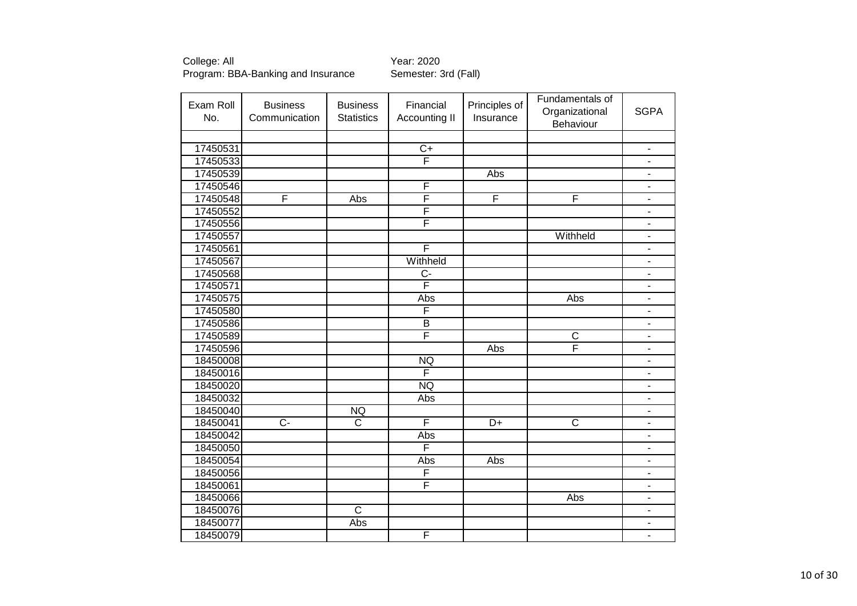| Exam Roll<br>No. | <b>Business</b><br>Communication | <b>Business</b><br><b>Statistics</b> | Financial<br>Accounting II | Principles of<br>Insurance | Fundamentals of<br>Organizational | <b>SGPA</b>                  |
|------------------|----------------------------------|--------------------------------------|----------------------------|----------------------------|-----------------------------------|------------------------------|
|                  |                                  |                                      |                            |                            | Behaviour                         |                              |
|                  |                                  |                                      |                            |                            |                                   |                              |
| 17450531         |                                  |                                      | $\overline{C+}$            |                            |                                   | $\overline{\phantom{a}}$     |
| 17450533         |                                  |                                      | F                          |                            |                                   | $\overline{\phantom{a}}$     |
| 17450539         |                                  |                                      |                            | Abs                        |                                   | $\blacksquare$               |
| 17450546         |                                  |                                      | $\overline{F}$             |                            |                                   | $\blacksquare$               |
| 17450548         | F                                | <b>Abs</b>                           | F                          | F                          | F                                 | $\overline{\phantom{a}}$     |
| 17450552         |                                  |                                      | F                          |                            |                                   | $\qquad \qquad \blacksquare$ |
| 17450556         |                                  |                                      | F                          |                            |                                   | $\blacksquare$               |
| 17450557         |                                  |                                      |                            |                            | Withheld                          | -                            |
| 17450561         |                                  |                                      | F                          |                            |                                   | $\blacksquare$               |
| 17450567         |                                  |                                      | Withheld                   |                            |                                   | $\overline{\phantom{a}}$     |
| 17450568         |                                  |                                      | $\overline{C}$             |                            |                                   | $\qquad \qquad \blacksquare$ |
| 17450571         |                                  |                                      | $\overline{\mathsf{F}}$    |                            |                                   | $\overline{\phantom{a}}$     |
| 17450575         |                                  |                                      | Abs                        |                            | Abs                               | $\blacksquare$               |
| 17450580         |                                  |                                      | F                          |                            |                                   | $\overline{\phantom{a}}$     |
| 17450586         |                                  |                                      | $\overline{B}$             |                            |                                   | $\blacksquare$               |
| 17450589         |                                  |                                      | F                          |                            | C                                 | $\overline{\phantom{a}}$     |
| 17450596         |                                  |                                      |                            | Abs                        | F                                 | $\blacksquare$               |
| 18450008         |                                  |                                      | <b>NQ</b>                  |                            |                                   | $\blacksquare$               |
| 18450016         |                                  |                                      | $\overline{\mathsf{F}}$    |                            |                                   | $\blacksquare$               |
| 18450020         |                                  |                                      | <b>NQ</b>                  |                            |                                   | $\blacksquare$               |
| 18450032         |                                  |                                      | Abs                        |                            |                                   | $\blacksquare$               |
| 18450040         |                                  | <b>NQ</b>                            |                            |                            |                                   | $\qquad \qquad \blacksquare$ |
| 18450041         | $\overline{C}$                   | $\overline{\text{c}}$                | F                          | $\overline{D+}$            | $\overline{\mathsf{C}}$           | $\blacksquare$               |
| 18450042         |                                  |                                      | Abs                        |                            |                                   | $\overline{\phantom{a}}$     |
| 18450050         |                                  |                                      | F                          |                            |                                   | $\overline{\phantom{0}}$     |
| 18450054         |                                  |                                      | Abs                        | Abs                        |                                   | $\blacksquare$               |
| 18450056         |                                  |                                      | F                          |                            |                                   | $\qquad \qquad \blacksquare$ |
| 18450061         |                                  |                                      | F                          |                            |                                   | $\blacksquare$               |
| 18450066         |                                  |                                      |                            |                            | Abs                               | $\overline{\phantom{m}}$     |
| 18450076         |                                  | $\overline{C}$                       |                            |                            |                                   | $\blacksquare$               |
| 18450077         |                                  | Abs                                  |                            |                            |                                   | $\overline{a}$               |
| 18450079         |                                  |                                      | F                          |                            |                                   | $\blacksquare$               |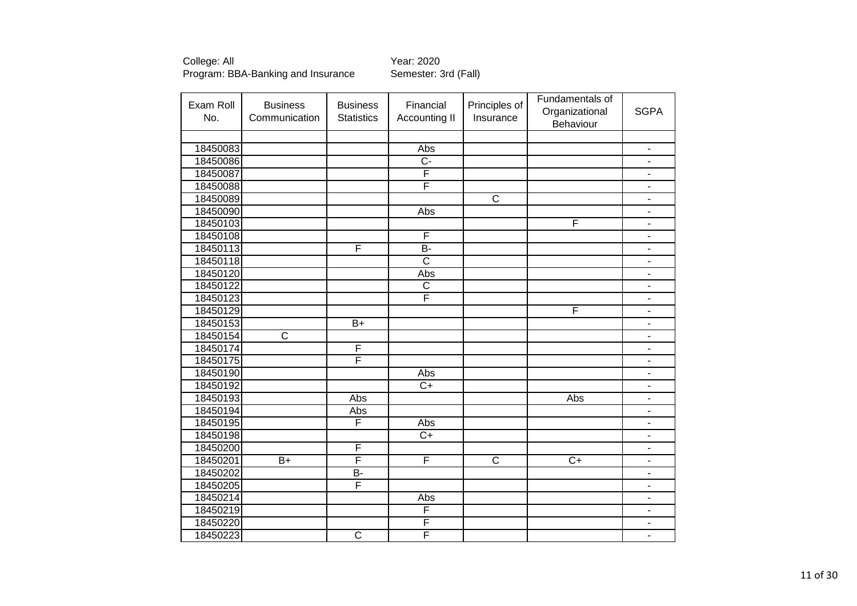| Exam Roll<br>No. | <b>Business</b><br>Communication | <b>Business</b><br><b>Statistics</b> | Financial<br>Accounting II | Principles of<br>Insurance | Fundamentals of<br>Organizational<br>Behaviour | <b>SGPA</b>                  |
|------------------|----------------------------------|--------------------------------------|----------------------------|----------------------------|------------------------------------------------|------------------------------|
|                  |                                  |                                      |                            |                            |                                                |                              |
| 18450083         |                                  |                                      | Abs                        |                            |                                                | $\qquad \qquad \blacksquare$ |
| 18450086         |                                  |                                      | $\overline{C}$             |                            |                                                | $\blacksquare$               |
| 18450087         |                                  |                                      | F                          |                            |                                                | $\blacksquare$               |
| 18450088         |                                  |                                      | F                          |                            |                                                | $\overline{\phantom{a}}$     |
| 18450089         |                                  |                                      |                            | $\overline{\text{c}}$      |                                                | $\overline{\phantom{a}}$     |
| 18450090         |                                  |                                      | Abs                        |                            |                                                | $\blacksquare$               |
| 18450103         |                                  |                                      |                            |                            | F                                              | $\overline{\phantom{a}}$     |
| 18450108         |                                  |                                      | F                          |                            |                                                |                              |
| 18450113         |                                  | F                                    | $\overline{B}$             |                            |                                                | ä,                           |
| 18450118         |                                  |                                      | $\overline{\text{c}}$      |                            |                                                | $\blacksquare$               |
| 18450120         |                                  |                                      | Abs                        |                            |                                                | $\blacksquare$               |
| 18450122         |                                  |                                      | $\overline{\text{c}}$      |                            |                                                | $\overline{\phantom{a}}$     |
| 18450123         |                                  |                                      | $\overline{\mathsf{F}}$    |                            |                                                | $\overline{\phantom{a}}$     |
| 18450129         |                                  |                                      |                            |                            | F                                              | $\overline{\phantom{m}}$     |
| 18450153         |                                  | $B+$                                 |                            |                            |                                                | $\overline{a}$               |
| 18450154         | $\overline{\text{c}}$            |                                      |                            |                            |                                                | $\blacksquare$               |
| 18450174         |                                  | F                                    |                            |                            |                                                | $\overline{\phantom{a}}$     |
| 18450175         |                                  | F                                    |                            |                            |                                                | $\blacksquare$               |
| 18450190         |                                  |                                      | Abs                        |                            |                                                | $\overline{\phantom{a}}$     |
| 18450192         |                                  |                                      | $\overline{C}$             |                            |                                                | $\overline{\phantom{a}}$     |
| 18450193         |                                  | Abs                                  |                            |                            | Abs                                            |                              |
| 18450194         |                                  | Abs                                  |                            |                            |                                                |                              |
| 18450195         |                                  | F                                    | Abs                        |                            |                                                | $\overline{\phantom{a}}$     |
| 18450198         |                                  |                                      | $C+$                       |                            |                                                | $\overline{\phantom{a}}$     |
| 18450200         |                                  | F                                    |                            |                            |                                                | $\blacksquare$               |
| 18450201         | $B+$                             | F                                    | F                          | $\overline{\text{c}}$      | $\overline{C+}$                                | $\blacksquare$               |
| 18450202         |                                  | $B -$                                |                            |                            |                                                | $\blacksquare$               |
| 18450205         |                                  | F                                    |                            |                            |                                                | $\qquad \qquad \blacksquare$ |
| 18450214         |                                  |                                      | Abs                        |                            |                                                | $\overline{\phantom{a}}$     |
| 18450219         |                                  |                                      | F                          |                            |                                                | $\qquad \qquad \blacksquare$ |
| 18450220         |                                  |                                      | F                          |                            |                                                |                              |
| 18450223         |                                  | $\overline{\mathsf{C}}$              | F                          |                            |                                                | $\overline{\phantom{a}}$     |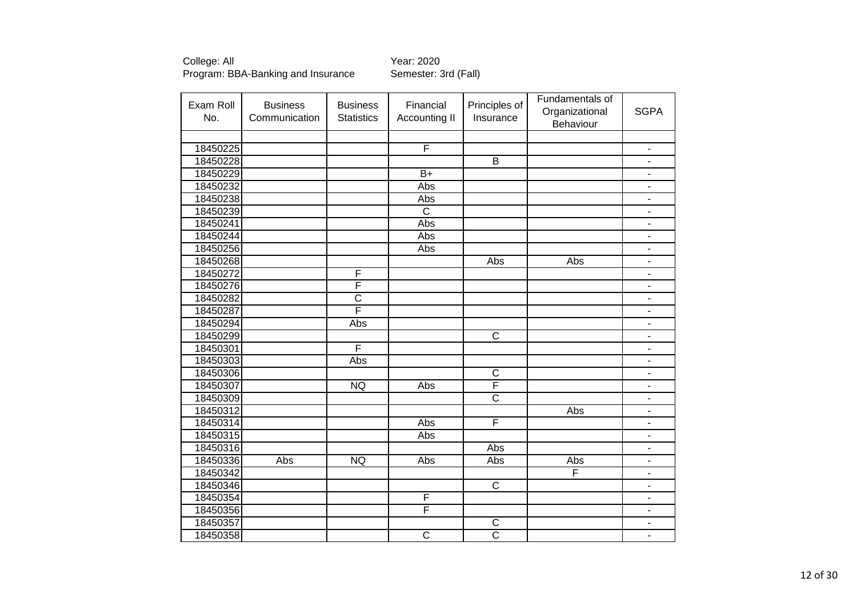College: All <br>Program: BBA-Banking and Insurance Semester: 3rd (Fall) Program: BBA-Banking and Insurance

| Exam Roll | <b>Business</b> | <b>Business</b>         | Financial             | Principles of         | Fundamentals of<br>Organizational | <b>SGPA</b>                  |
|-----------|-----------------|-------------------------|-----------------------|-----------------------|-----------------------------------|------------------------------|
| No.       | Communication   | <b>Statistics</b>       | <b>Accounting II</b>  | Insurance             | Behaviour                         |                              |
|           |                 |                         |                       |                       |                                   |                              |
| 18450225  |                 |                         | F                     |                       |                                   | $\overline{\phantom{a}}$     |
| 18450228  |                 |                         |                       | $\overline{B}$        |                                   | $\overline{\phantom{a}}$     |
| 18450229  |                 |                         | $B+$                  |                       |                                   | $\qquad \qquad \blacksquare$ |
| 18450232  |                 |                         | Abs                   |                       |                                   | $\blacksquare$               |
| 18450238  |                 |                         | Abs                   |                       |                                   | $\qquad \qquad \blacksquare$ |
| 18450239  |                 |                         | $\overline{\text{c}}$ |                       |                                   | $\blacksquare$               |
| 18450241  |                 |                         | Abs                   |                       |                                   | $\blacksquare$               |
| 18450244  |                 |                         | Abs                   |                       |                                   | $\blacksquare$               |
| 18450256  |                 |                         | Abs                   |                       |                                   | $\overline{\phantom{a}}$     |
| 18450268  |                 |                         |                       | Abs                   | Abs                               | $\blacksquare$               |
| 18450272  |                 | F                       |                       |                       |                                   | ÷,                           |
| 18450276  |                 | $\overline{\mathsf{F}}$ |                       |                       |                                   | $\blacksquare$               |
| 18450282  |                 | $\overline{\text{c}}$   |                       |                       |                                   | $\blacksquare$               |
| 18450287  |                 | Ē                       |                       |                       |                                   | $\blacksquare$               |
| 18450294  |                 | Abs                     |                       |                       |                                   | $\overline{\phantom{a}}$     |
| 18450299  |                 |                         |                       | $\overline{C}$        |                                   | $\blacksquare$               |
| 18450301  |                 | F                       |                       |                       |                                   | $\blacksquare$               |
| 18450303  |                 | Abs                     |                       |                       |                                   | $\blacksquare$               |
| 18450306  |                 |                         |                       | $\overline{\text{c}}$ |                                   | $\blacksquare$               |
| 18450307  |                 | <b>NQ</b>               | Abs                   | F                     |                                   | $\blacksquare$               |
| 18450309  |                 |                         |                       | $\overline{\text{c}}$ |                                   | $\qquad \qquad \blacksquare$ |
| 18450312  |                 |                         |                       |                       | Abs                               | $\blacksquare$               |
| 18450314  |                 |                         | Abs                   | F                     |                                   | $\overline{\phantom{0}}$     |
| 18450315  |                 |                         | Abs                   |                       |                                   | ä,                           |
| 18450316  |                 |                         |                       | Abs                   |                                   | ä,                           |
| 18450336  | Abs             | <b>NQ</b>               | Abs                   | Abs                   | Abs                               | ٠                            |
| 18450342  |                 |                         |                       |                       | F                                 | $\qquad \qquad \blacksquare$ |
| 18450346  |                 |                         |                       | $\overline{C}$        |                                   | $\blacksquare$               |
| 18450354  |                 |                         | F                     |                       |                                   | $\qquad \qquad \blacksquare$ |
| 18450356  |                 |                         | F                     |                       |                                   | $\overline{\phantom{a}}$     |
| 18450357  |                 |                         |                       | C                     |                                   | $\overline{\phantom{a}}$     |
| 18450358  |                 |                         | $\overline{\text{c}}$ | $\overline{\text{c}}$ |                                   | $\blacksquare$               |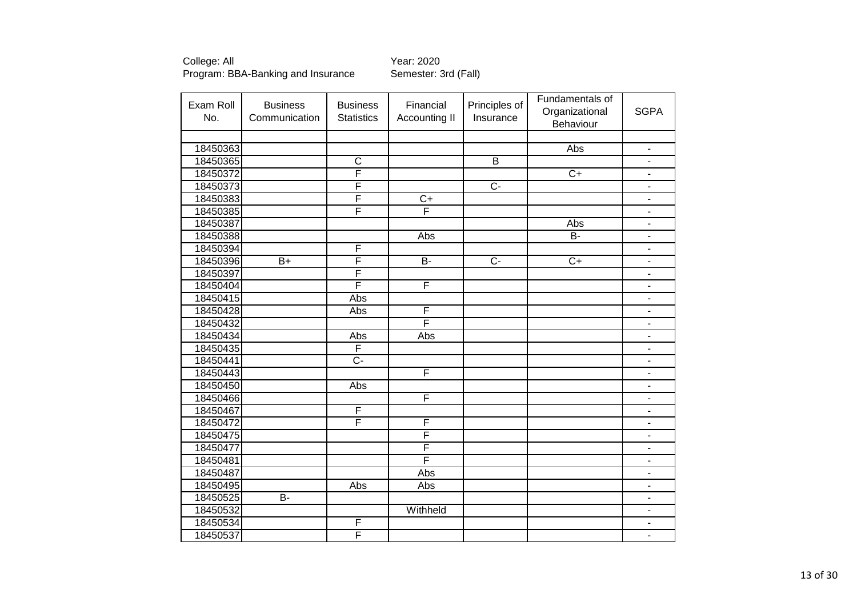| Exam Roll | <b>Business</b> | <b>Business</b>         | Financial       | Principles of  | Fundamentals of |                              |
|-----------|-----------------|-------------------------|-----------------|----------------|-----------------|------------------------------|
| No.       | Communication   | <b>Statistics</b>       | Accounting II   | Insurance      | Organizational  | <b>SGPA</b>                  |
|           |                 |                         |                 |                | Behaviour       |                              |
|           |                 |                         |                 |                |                 |                              |
| 18450363  |                 |                         |                 |                | Abs             | $\overline{\phantom{a}}$     |
| 18450365  |                 | $\overline{\mathsf{C}}$ |                 | $\overline{B}$ |                 | $\overline{\phantom{m}}$     |
| 18450372  |                 | F                       |                 |                | $\overline{C+}$ | $\blacksquare$               |
| 18450373  |                 | F                       |                 | $\overline{C}$ |                 | $\blacksquare$               |
| 18450383  |                 | F                       | $\overline{C+}$ |                |                 | $\qquad \qquad \blacksquare$ |
| 18450385  |                 | F                       | F               |                |                 | $\blacksquare$               |
| 18450387  |                 |                         |                 |                | Abs             | $\overline{a}$               |
| 18450388  |                 |                         | Abs             |                | $\overline{B}$  | $\qquad \qquad \blacksquare$ |
| 18450394  |                 | F                       |                 |                |                 | $\overline{\phantom{a}}$     |
| 18450396  | $B+$            | F                       | B-              | $\overline{C}$ | $C+$            | ÷,                           |
| 18450397  |                 | F                       |                 |                |                 | $\overline{a}$               |
| 18450404  |                 | F                       | F               |                |                 | $\overline{\phantom{a}}$     |
| 18450415  |                 | Abs                     |                 |                |                 | $\blacksquare$               |
| 18450428  |                 | Abs                     | F               |                |                 | $\blacksquare$               |
| 18450432  |                 |                         | F               |                |                 | $\qquad \qquad \blacksquare$ |
| 18450434  |                 | Abs                     | Abs             |                |                 | $\overline{\phantom{a}}$     |
| 18450435  |                 | F                       |                 |                |                 | $\blacksquare$               |
| 18450441  |                 | $\overline{C}$          |                 |                |                 | $\blacksquare$               |
| 18450443  |                 |                         | F               |                |                 | $\blacksquare$               |
| 18450450  |                 | Abs                     |                 |                |                 | $\blacksquare$               |
| 18450466  |                 |                         | F               |                |                 | $\overline{a}$               |
| 18450467  |                 | F                       |                 |                |                 | $\overline{\phantom{a}}$     |
| 18450472  |                 | F                       | F               |                |                 | $\blacksquare$               |
| 18450475  |                 |                         | F               |                |                 | $\overline{\phantom{a}}$     |
| 18450477  |                 |                         | F               |                |                 | $\overline{\phantom{a}}$     |
| 18450481  |                 |                         | F               |                |                 | $\qquad \qquad \blacksquare$ |
| 18450487  |                 |                         | Abs             |                |                 | $\qquad \qquad \blacksquare$ |
| 18450495  |                 | Abs                     | Abs             |                |                 | $\overline{\phantom{a}}$     |
| 18450525  | $\overline{B}$  |                         |                 |                |                 | $\overline{\phantom{m}}$     |
| 18450532  |                 |                         | Withheld        |                |                 | $\overline{\phantom{m}}$     |
| 18450534  |                 | F                       |                 |                |                 | $\blacksquare$               |
| 18450537  |                 | F                       |                 |                |                 | $\blacksquare$               |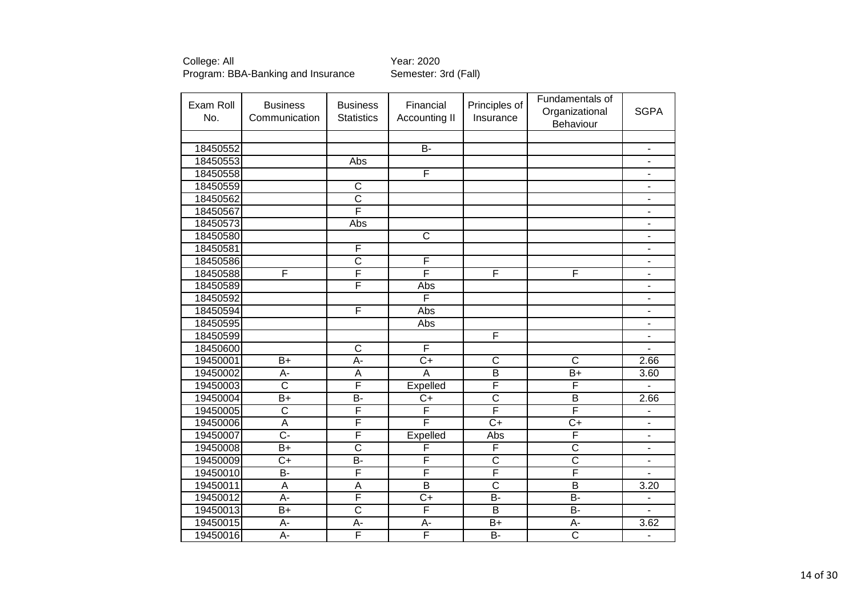| Exam Roll<br>No. | <b>Business</b><br>Communication | <b>Business</b><br><b>Statistics</b> | Financial<br>Accounting II | Principles of<br>Insurance | Fundamentals of<br>Organizational | <b>SGPA</b>                  |
|------------------|----------------------------------|--------------------------------------|----------------------------|----------------------------|-----------------------------------|------------------------------|
|                  |                                  |                                      |                            |                            | Behaviour                         |                              |
|                  |                                  |                                      |                            |                            |                                   |                              |
| 18450552         |                                  |                                      | $B -$                      |                            |                                   | $\qquad \qquad \blacksquare$ |
| 18450553         |                                  | Abs                                  |                            |                            |                                   | $\overline{\phantom{a}}$     |
| 18450558         |                                  |                                      | F                          |                            |                                   | $\qquad \qquad \blacksquare$ |
| 18450559         |                                  | $\mathsf{C}$                         |                            |                            |                                   | $\overline{\phantom{a}}$     |
| 18450562         |                                  | $\overline{\text{c}}$                |                            |                            |                                   | $\blacksquare$               |
| 18450567         |                                  | F                                    |                            |                            |                                   | ä,                           |
| 18450573         |                                  | Abs                                  |                            |                            |                                   | $\overline{a}$               |
| 18450580         |                                  |                                      | $\overline{\text{c}}$      |                            |                                   |                              |
| 18450581         |                                  | F                                    |                            |                            |                                   | $\overline{\phantom{a}}$     |
| 18450586         |                                  | $\overline{C}$                       | F                          |                            |                                   | $\blacksquare$               |
| 18450588         | F                                | F                                    | F                          | F                          | F                                 | $\overline{\phantom{a}}$     |
| 18450589         |                                  | $\overline{\mathsf{F}}$              | Abs                        |                            |                                   | $\overline{\phantom{0}}$     |
| 18450592         |                                  |                                      | F                          |                            |                                   | $\qquad \qquad \blacksquare$ |
| 18450594         |                                  | F                                    | Abs                        |                            |                                   | $\qquad \qquad \blacksquare$ |
| 18450595         |                                  |                                      | Abs                        |                            |                                   | $\qquad \qquad \blacksquare$ |
| 18450599         |                                  |                                      |                            | F                          |                                   | $\overline{\phantom{a}}$     |
| 18450600         |                                  | $\overline{\mathsf{C}}$              | F                          |                            |                                   |                              |
| 19450001         | $\overline{B+}$                  | A-                                   | $\overline{C}$             | $\overline{\mathsf{c}}$    | $\overline{\text{c}}$             | 2.66                         |
| 19450002         | $A -$                            | $\overline{A}$                       | $\overline{A}$             | $\overline{B}$             | $B+$                              | 3.60                         |
| 19450003         | $\overline{\text{c}}$            | F                                    | Expelled                   | F                          | F                                 |                              |
| 19450004         | $B+$                             | <b>B-</b>                            | $C+$                       | $\overline{\text{c}}$      | $\overline{B}$                    | 2.66                         |
| 19450005         | $\overline{\text{c}}$            | F                                    | F                          | F                          | F                                 |                              |
| 19450006         | $\overline{A}$                   | F                                    | F                          | $C+$                       | $\overline{C+}$                   | $\blacksquare$               |
| 19450007         | $\overline{C}$ -                 | $\overline{\mathsf{F}}$              | Expelled                   | Abs                        | F                                 | $\qquad \qquad \blacksquare$ |
| 19450008         | $B+$                             | $\overline{C}$                       | F                          | F                          | $\overline{\text{c}}$             | $\qquad \qquad \blacksquare$ |
| 19450009         | $\overline{C+}$                  | $\overline{B}$                       | F                          | $\overline{\text{c}}$      | $\overline{\text{c}}$             | $\qquad \qquad \blacksquare$ |
| 19450010         | <b>B-</b>                        | $\overline{F}$                       | F                          | $\overline{\mathsf{F}}$    | F                                 | ä,                           |
| 19450011         | A                                | A                                    | B                          | $\overline{C}$             | B                                 | 3.20                         |
| 19450012         | $\overline{A}$ -                 | F                                    | $\overline{C}$             | $\overline{B}$             | $\overline{B}$                    | $\blacksquare$               |
| 19450013         | $B+$                             | $\overline{\text{c}}$                | F                          | $\overline{B}$             | $B -$                             | $\overline{a}$               |
| 19450015         | A-                               | $A -$                                | A-                         | $B+$                       | A-                                | 3.62                         |
| 19450016         | $\overline{A}$ -                 | F                                    | F                          | $\overline{B}$             | $\overline{\text{c}}$             | $\blacksquare$               |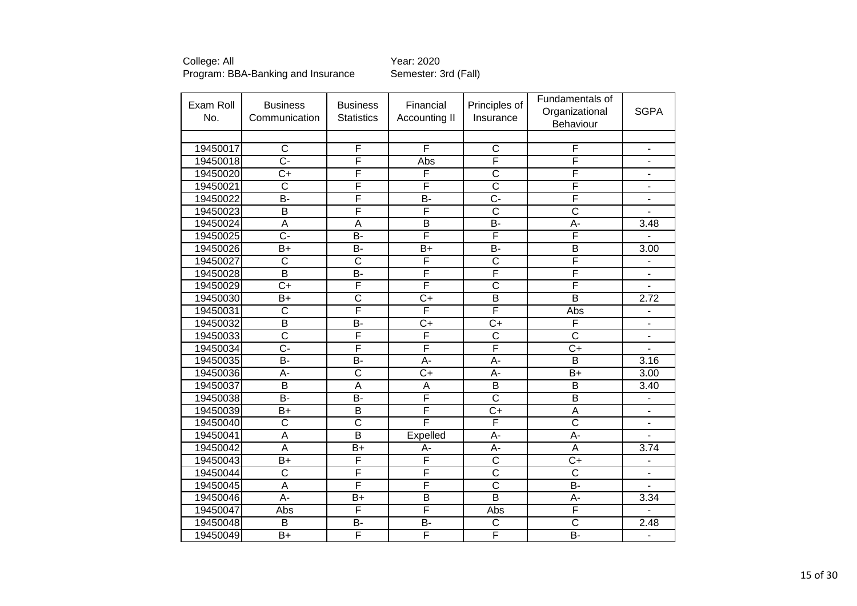| Exam Roll<br>No. | <b>Business</b><br>Communication | <b>Business</b><br><b>Statistics</b> | Financial<br>Accounting II | Principles of<br>Insurance | Fundamentals of<br>Organizational<br>Behaviour | <b>SGPA</b>                  |
|------------------|----------------------------------|--------------------------------------|----------------------------|----------------------------|------------------------------------------------|------------------------------|
|                  |                                  |                                      |                            |                            |                                                |                              |
| 19450017         | $\overline{\text{c}}$            | $\overline{F}$                       | $\overline{\mathsf{F}}$    | $\overline{\text{c}}$      | F                                              | $\blacksquare$               |
| 19450018         | $\overline{C}$ -                 | F                                    | Abs                        | F                          | F                                              | $\blacksquare$               |
| 19450020         | $C+$                             | F                                    | F                          | $\overline{\text{c}}$      | F                                              |                              |
| 19450021         | $\overline{\text{c}}$            | F                                    | F                          | $\overline{\text{c}}$      | F                                              | $\overline{\phantom{a}}$     |
| 19450022         | B-                               | F                                    | $\overline{B}$             | $\overline{C}$ -           | F                                              |                              |
| 19450023         | $\overline{B}$                   | F                                    | F                          | $\overline{\text{c}}$      | $\overline{\text{c}}$                          |                              |
| 19450024         | A                                | A                                    | $\overline{B}$             | $\overline{B}$             | $A -$                                          | 3.48                         |
| 19450025         | <del>.</del>                     | B-                                   | F                          | F                          | F                                              |                              |
| 19450026         | $B+$                             | $\overline{B}$                       | $\overline{B+}$            | $\overline{B}$             | $\overline{B}$                                 | 3.00                         |
| 19450027         | $\overline{\text{C}}$            | $\overline{\text{C}}$                | F                          | $\overline{\text{c}}$      | F                                              | $\qquad \qquad \blacksquare$ |
| 19450028         | $\overline{\mathsf{B}}$          | $\overline{B}$                       | F                          | F                          | F                                              | $\blacksquare$               |
| 19450029         | $\overline{C}$                   | F                                    | F                          | $\overline{\text{C}}$      | F                                              | $\overline{\phantom{0}}$     |
| 19450030         | $B+$                             | $\overline{\text{c}}$                | $\overline{C+}$            | $\overline{B}$             | $\overline{B}$                                 | 2.72                         |
| 19450031         | $\overline{\text{c}}$            | F                                    | F                          | F                          | Abs                                            | $\qquad \qquad \blacksquare$ |
| 19450032         | $\overline{B}$                   | B-                                   | $\overline{C+}$            | $\overline{C}$             | F                                              | $\frac{1}{2}$                |
| 19450033         | $\overline{\text{c}}$            | $\overline{F}$                       | F                          | $\overline{\text{c}}$      | $\overline{\text{c}}$                          | ä,                           |
| 19450034         | $\overline{C}$ -                 | F                                    | F                          | F                          | $\overline{C+}$                                |                              |
| 19450035         | $\overline{B}$                   | <b>B-</b>                            | A-                         | A-                         | $\overline{B}$                                 | 3.16                         |
| 19450036         | A-                               | $\overline{\text{c}}$                | $C+$                       | A-                         | $B+$                                           | 3.00                         |
| 19450037         | $\overline{\mathsf{B}}$          | $\overline{A}$                       | $\overline{A}$             | $\overline{\mathsf{B}}$    | $\overline{B}$                                 | 3.40                         |
| 19450038         | $\overline{B}$                   | $\overline{B}$                       | F                          | $\overline{\text{c}}$      | $\overline{B}$                                 |                              |
| 19450039         | $B+$                             | B                                    | F                          | $\overline{C+}$            | $\overline{A}$                                 | L,                           |
| 19450040         | $\overline{\text{c}}$            | $\overline{\text{c}}$                | F                          | F                          | $\overline{\text{c}}$                          | $\blacksquare$               |
| 19450041         | A                                | $\overline{B}$                       | Expelled                   | A-                         | $\overline{A}$                                 |                              |
| 19450042         | $\overline{A}$                   | $\overline{B+}$                      | А-                         | A-                         | A                                              | 3.74                         |
| 19450043         | $B+$                             | F                                    | F                          | $\overline{\text{c}}$      | $\overline{C}$                                 | -                            |
| 19450044         | $\overline{\text{c}}$            | F                                    | F                          | $\overline{\text{c}}$      | $\overline{\text{c}}$                          | $\overline{\phantom{0}}$     |
| 19450045         | A                                | F                                    | F                          | $\overline{\text{C}}$      | $\overline{B}$                                 | $\overline{\phantom{a}}$     |
| 19450046         | $\overline{A}$ -                 | $\overline{B}$                       | $\overline{B}$             | $\overline{\mathsf{B}}$    | $A -$                                          | 3.34                         |
| 19450047         | Abs                              | $\overline{F}$                       | F                          | Abs                        | $\overline{\mathsf{F}}$                        | $\overline{a}$               |
| 19450048         | $\overline{B}$                   | B-                                   | <b>B-</b>                  | C                          | $\overline{\text{c}}$                          | 2.48                         |
| 19450049         | $\overline{B+}$                  | F                                    | F                          | F                          | $\overline{B}$                                 | $\overline{a}$               |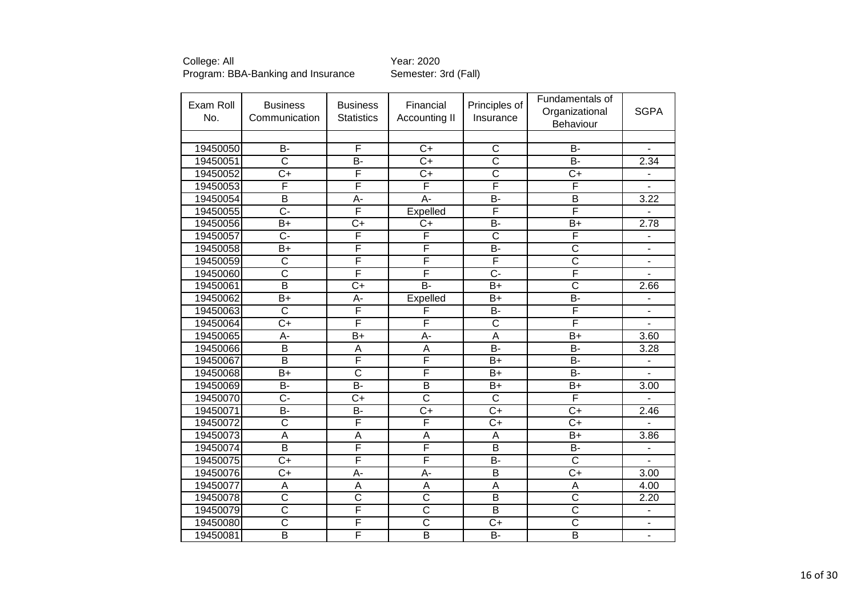| Exam Roll<br>No. | <b>Business</b><br>Communication | <b>Business</b><br><b>Statistics</b> | Financial<br>Accounting II | Principles of<br>Insurance | Fundamentals of<br>Organizational<br><b>Behaviour</b> | <b>SGPA</b>              |
|------------------|----------------------------------|--------------------------------------|----------------------------|----------------------------|-------------------------------------------------------|--------------------------|
|                  |                                  |                                      |                            |                            |                                                       |                          |
| 19450050         | B-                               | F                                    | $C+$                       | C                          | $B -$                                                 | $\blacksquare$           |
| 19450051         | $\overline{\text{c}}$            | B-                                   | $\overline{C}$             | $\overline{\text{c}}$      | B-                                                    | 2.34                     |
| 19450052         | $C+$                             | F                                    | $C+$                       | $\overline{\text{c}}$      | $\overline{C}$                                        |                          |
| 19450053         | F                                | F                                    | $\overline{\mathsf{F}}$    | F                          | F                                                     |                          |
| 19450054         | $\overline{\mathsf{B}}$          | $A -$                                | $A -$                      | $\overline{B}$             | $\overline{B}$                                        | 3.22                     |
| 19450055         | C-                               | F                                    | Expelled                   | F                          | F                                                     |                          |
| 19450056         | $B+$                             | $C+$                                 | $C+$                       | $\overline{B}$             | $B+$                                                  | 2.78                     |
| 19450057         | $\overline{C}$ -                 | F                                    | F                          | $\overline{\text{c}}$      | F                                                     |                          |
| 19450058         | $B+$                             | F                                    | F                          | B-                         | $\overline{\text{c}}$                                 | ÷,                       |
| 19450059         | $\overline{\text{c}}$            | $\overline{\mathsf{F}}$              | F                          | F                          | $\overline{\text{c}}$                                 | $\blacksquare$           |
| 19450060         | $\overline{\text{c}}$            | F                                    | F                          | $\overline{C}$ -           | F                                                     |                          |
| 19450061         | $\overline{\mathsf{B}}$          | $\overline{C+}$                      | $\overline{B}$             | $B+$                       | $\overline{\text{c}}$                                 | 2.66                     |
| 19450062         | $B+$                             | А-                                   | Expelled                   | $B+$                       | <b>B-</b>                                             | $\overline{\phantom{0}}$ |
| 19450063         | $\overline{\text{c}}$            | F                                    | F                          | B-                         | F                                                     | $\overline{\phantom{a}}$ |
| 19450064         | $\overline{C}$                   | $\overline{\mathsf{F}}$              | F                          | $\overline{\text{C}}$      | F                                                     | L,                       |
| 19450065         | А-                               | $B+$                                 | A-                         | A                          | $B+$                                                  | 3.60                     |
| 19450066         | $\overline{\mathsf{B}}$          | $\overline{A}$                       | $\overline{A}$             | $\overline{B}$             | B-                                                    | 3.28                     |
| 19450067         | B                                | F                                    | F                          | $B+$                       | <b>B-</b>                                             |                          |
| 19450068         | $B+$                             | $\overline{\text{c}}$                | F                          | $B+$                       | $\overline{B}$                                        |                          |
| 19450069         | B-                               | B-                                   | $\overline{B}$             | $B+$                       | $B+$                                                  | 3.00                     |
| 19450070         | $\overline{C}$                   | $C+$                                 | $\overline{\text{c}}$      | $\overline{\text{c}}$      | F                                                     |                          |
| 19450071         | $\overline{B}$                   | <b>B-</b>                            | $\overline{C+}$            | $\overline{C+}$            | $\overline{C+}$                                       | 2.46                     |
| 19450072         | $\overline{\text{c}}$            | F                                    | F                          | $\overline{C}$             | $\overline{C+}$                                       |                          |
| 19450073         | $\overline{A}$                   | A                                    | $\overline{A}$             | A                          | $B+$                                                  | 3.86                     |
| 19450074         | $\overline{B}$                   | F                                    | F                          | $\overline{B}$             | <b>B-</b>                                             | $\overline{\phantom{0}}$ |
| 19450075         | $\overline{C+}$                  | F                                    | F                          | $\overline{B}$ -           | $\overline{\text{c}}$                                 | ä,                       |
| 19450076         | $C+$                             | $A -$                                | A-                         | B                          | $C+$                                                  | 3.00                     |
| 19450077         | A                                | A                                    | A                          | Α                          | A                                                     | 4.00                     |
| 19450078         | $\overline{\text{c}}$            | $\overline{\text{c}}$                | $\overline{\text{c}}$      | $\overline{B}$             | $\overline{\text{c}}$                                 | 2.20                     |
| 19450079         | $\overline{\text{c}}$            | $\overline{\mathsf{F}}$              | $\overline{\text{c}}$      | $\overline{B}$             | $\overline{\text{C}}$                                 | $\overline{\phantom{a}}$ |
| 19450080         | $\overline{\text{c}}$            | $\overline{F}$                       | $\overline{\text{c}}$      | $C+$                       | $\overline{\text{c}}$                                 | $\blacksquare$           |
| 19450081         | $\overline{\mathsf{B}}$          | F                                    | $\overline{B}$             | B-                         | $\overline{\mathsf{B}}$                               | $\blacksquare$           |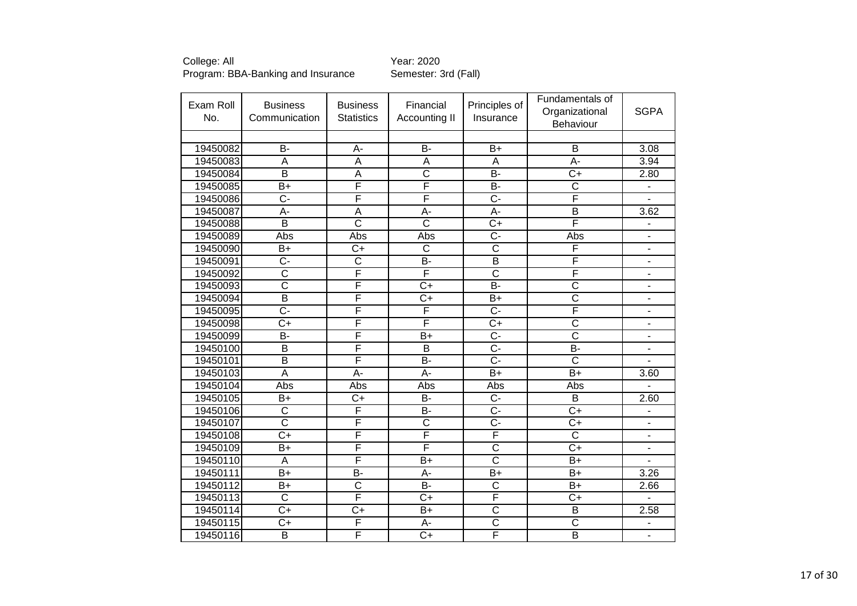| Exam Roll<br>No. | <b>Business</b><br>Communication | <b>Business</b><br><b>Statistics</b> | Financial<br>Accounting II | Principles of<br>Insurance | Fundamentals of<br>Organizational<br>Behaviour | <b>SGPA</b>              |
|------------------|----------------------------------|--------------------------------------|----------------------------|----------------------------|------------------------------------------------|--------------------------|
|                  |                                  |                                      |                            |                            |                                                |                          |
| 19450082         | $B -$                            | A-                                   | <b>B-</b>                  | $B+$                       | B                                              | 3.08                     |
| 19450083         | $\overline{A}$                   | A                                    | $\overline{A}$             | $\overline{A}$             | $A -$                                          | 3.94                     |
| 19450084         | $\overline{B}$                   | A                                    | $\overline{\text{c}}$      | $\overline{B}$             | $\overline{C}$                                 | 2.80                     |
| 19450085         | $B+$                             | F                                    | F                          | <b>B-</b>                  | $\overline{\text{c}}$                          |                          |
| 19450086         | $\overline{C}$ -                 | F                                    | F                          | $\overline{C}$ -           | F                                              |                          |
| 19450087         | A-                               | A                                    | $A -$                      | A-                         | $\overline{\mathsf{B}}$                        | 3.62                     |
| 19450088         | B                                | $\overline{\text{c}}$                | $\overline{\text{C}}$      | $C+$                       | F                                              |                          |
| 19450089         | Abs                              | Abs                                  | Abs                        | $\overline{C}$ -           | Abs                                            | $\overline{\phantom{a}}$ |
| 19450090         | $B+$                             | $\overline{C+}$                      | $\overline{\text{c}}$      | $\overline{\text{c}}$      | F                                              | $\overline{a}$           |
| 19450091         | C-                               | C                                    | <b>B-</b>                  | B                          | F                                              | $\overline{\phantom{a}}$ |
| 19450092         | $\overline{\text{c}}$            | F                                    | F                          | $\overline{\text{c}}$      | F                                              | $\overline{\phantom{a}}$ |
| 19450093         | $\overline{\text{c}}$            | F                                    | $C+$                       | $\overline{B}$             | $\overline{\text{c}}$                          | $\blacksquare$           |
| 19450094         | $\overline{B}$                   | F                                    | $C+$                       | $B+$                       | $\overline{\text{c}}$                          | $\overline{\phantom{a}}$ |
| 19450095         | C-                               | F                                    | F                          | $\overline{C}$             | F                                              | $\blacksquare$           |
| 19450098         | $C+$                             | F                                    | F                          | $C+$                       | $\overline{\text{c}}$                          |                          |
| 19450099         | <b>B-</b>                        | F                                    | $B+$                       | C-                         | $\overline{\text{c}}$                          |                          |
| 19450100         | $\overline{B}$                   | F                                    | $\overline{\mathsf{B}}$    | $\overline{C}$ -           | $\overline{B}$                                 | $\blacksquare$           |
| 19450101         | $\overline{B}$                   | F                                    | $B -$                      | $\overline{C}$ -           | $\overline{\text{c}}$                          |                          |
| 19450103         | $\overline{A}$                   | A-                                   | $A -$                      | $B+$                       | $B+$                                           | 3.60                     |
| 19450104         | Abs                              | Abs                                  | Abs                        | Abs                        | Abs                                            |                          |
| 19450105         | $B+$                             | $C+$                                 | <b>B-</b>                  | $C -$                      | B                                              | 2.60                     |
| 19450106         | $\overline{\text{c}}$            | F                                    | $B -$                      | $\overline{C}$ -           | $\overline{C+}$                                |                          |
| 19450107         | $\overline{\text{c}}$            | F                                    | $\overline{\text{c}}$      | $\overline{C}$ -           | $\overline{C+}$                                |                          |
| 19450108         | $\overline{C}$                   | F                                    | F                          | $\overline{\mathsf{F}}$    | $\overline{\text{c}}$                          |                          |
| 19450109         | $B+$                             | F                                    | F                          | $\overline{\text{C}}$      | $\overline{C+}$                                | $\blacksquare$           |
| 19450110         | $\overline{A}$                   | F                                    | $\overline{B+}$            | $\overline{\text{c}}$      | $\overline{B}$                                 |                          |
| 19450111         | $B+$                             | B-                                   | A-                         | $B+$                       | $B+$                                           | 3.26                     |
| 19450112         | B+                               | $\overline{\text{C}}$                | <b>B-</b>                  | $\overline{\text{C}}$      | $B+$                                           | 2.66                     |
| 19450113         | C                                | F                                    | $C+$                       | F                          | $C+$                                           |                          |
| 19450114         | $C+$                             | $C+$                                 | $B+$                       | $\overline{\text{C}}$      | B                                              | 2.58                     |
| 19450115         | $C+$                             | F                                    | A-                         | $\overline{\text{c}}$      | $\overline{\text{c}}$                          | $\overline{a}$           |
| 19450116         | $\overline{B}$                   | F                                    | $\overline{C}$             | F                          | $\overline{B}$                                 | $\overline{\phantom{a}}$ |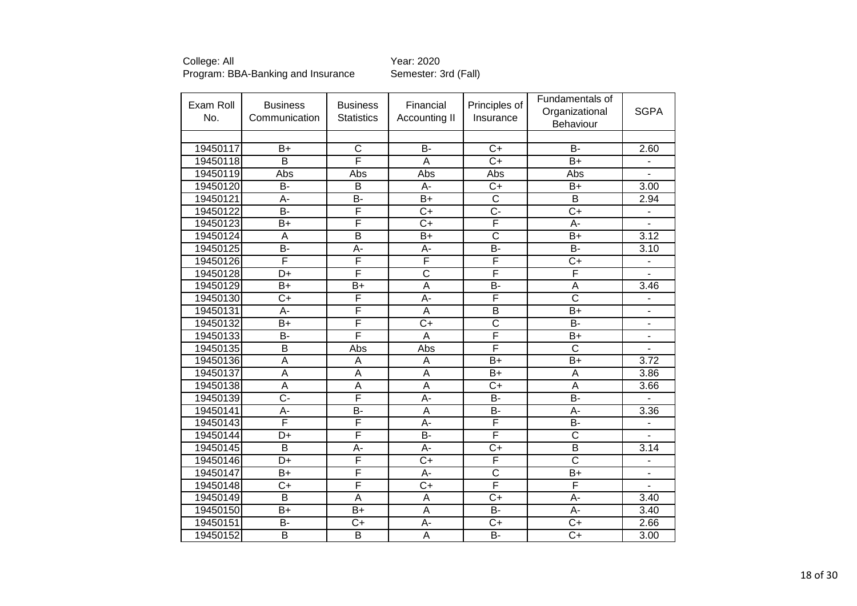| Exam Roll<br>No. | <b>Business</b><br>Communication | <b>Business</b><br><b>Statistics</b> | Financial<br>Accounting II | Principles of<br>Insurance | Fundamentals of<br>Organizational<br>Behaviour | <b>SGPA</b>                  |
|------------------|----------------------------------|--------------------------------------|----------------------------|----------------------------|------------------------------------------------|------------------------------|
|                  |                                  |                                      |                            |                            |                                                |                              |
| 19450117         | $B+$                             | $\mathsf{C}$                         | <b>B-</b>                  | $C+$                       | <b>B-</b>                                      | 2.60                         |
| 19450118         | $\overline{B}$                   | F                                    | A                          | $\overline{C}$             | $\overline{B}$                                 |                              |
| 19450119         | Abs                              | Abs                                  | Abs                        | Abs                        | Abs                                            |                              |
| 19450120         | $\overline{B}$                   | B                                    | A-                         | $\overline{C+}$            | $B+$                                           | 3.00                         |
| 19450121         | A-                               | B-                                   | $B+$                       | $\overline{\mathsf{C}}$    | $\overline{B}$                                 | 2.94                         |
| 19450122         | $\overline{B}$                   | F                                    | $\overline{C}$             | $\overline{C}$             | $\overline{C}$                                 |                              |
| 19450123         | $B+$                             | $\overline{\mathsf{F}}$              | $C+$                       | F                          | $A -$                                          |                              |
| 19450124         | $\overline{A}$                   | $\overline{\mathsf{B}}$              | $\overline{B}$             | $\overline{\text{c}}$      | $\overline{B}$                                 | 3.12                         |
| 19450125         | <b>B-</b>                        | A-                                   | A-                         | <b>B-</b>                  | <b>B-</b>                                      | 3.10                         |
| 19450126         | F                                | F                                    | F                          | F                          | $\overline{C}$                                 | $\qquad \qquad \blacksquare$ |
| 19450128         | $\overline{D+}$                  | F                                    | $\overline{\text{c}}$      | F                          | F                                              | ä,                           |
| 19450129         | $B+$                             | $\overline{B+}$                      | $\overline{A}$             | $\overline{B}$             | A                                              | 3.46                         |
| 19450130         | $C+$                             | $\overline{F}$                       | A-                         | F                          | $\overline{\text{c}}$                          | $\overline{\phantom{m}}$     |
| 19450131         | A-                               | F                                    | A                          | $\overline{B}$             | $B+$                                           | $\overline{\phantom{a}}$     |
| 19450132         | $B+$                             | F                                    | $\overline{C+}$            | $\overline{\text{c}}$      | $\overline{B}$                                 | $\blacksquare$               |
| 19450133         | <b>B-</b>                        | $\overline{\mathsf{F}}$              | A                          | F                          | $B+$                                           | ä,                           |
| 19450135         | $\overline{\mathsf{B}}$          | Abs                                  | Abs                        | F                          | $\overline{\text{c}}$                          |                              |
| 19450136         | A                                | A                                    | A                          | $B+$                       | $B+$                                           | 3.72                         |
| 19450137         | $\overline{A}$                   | A                                    | $\overline{A}$             | $B+$                       | A                                              | 3.86                         |
| 19450138         | $\overline{A}$                   | A                                    | $\overline{A}$             | $\overline{C}$             | $\overline{A}$                                 | 3.66                         |
| 19450139         | $\overline{C}$                   | $\overline{\mathsf{F}}$              | A-                         | <b>B-</b>                  | $\overline{B}$                                 |                              |
| 19450141         | $\overline{A}$ -                 | <b>B-</b>                            | $\overline{A}$             | $\overline{B}$             | $A -$                                          | 3.36                         |
| 19450143         | F                                | F                                    | $\overline{A}$ -           | F                          | B-                                             |                              |
| 19450144         | D+                               | $\overline{\mathsf{F}}$              | <b>B-</b>                  | F                          | $\overline{\text{c}}$                          |                              |
| 19450145         | $\overline{\mathsf{B}}$          | $\overline{A}$                       | A-                         | $\overline{C}$             | $\overline{B}$                                 | 3.14                         |
| 19450146         | D+                               | F                                    | $\overline{C}$             | F                          | $\overline{\text{c}}$                          | $\qquad \qquad \blacksquare$ |
| 19450147         | $B+$                             | $\overline{\mathsf{F}}$              | A-                         | $\overline{\text{c}}$      | $B+$                                           | $\qquad \qquad \blacksquare$ |
| 19450148         | $C+$                             | $\overline{F}$                       | $C+$                       | F                          | F                                              | $\overline{\phantom{0}}$     |
| 19450149         | $\overline{\mathsf{B}}$          | $\overline{A}$                       | $\overline{A}$             | $\overline{C+}$            | $\overline{A}$ -                               | 3.40                         |
| 19450150         | $B+$                             | $B+$                                 | A                          | B-                         | A-                                             | 3.40                         |
| 19450151         | <b>B-</b>                        | $C+$                                 | A-                         | $C+$                       | $\overline{C}$                                 | 2.66                         |
| 19450152         | $\overline{\mathsf{B}}$          | $\overline{B}$                       | $\overline{A}$             | $\overline{B}$ -           | $\overline{C+}$                                | 3.00                         |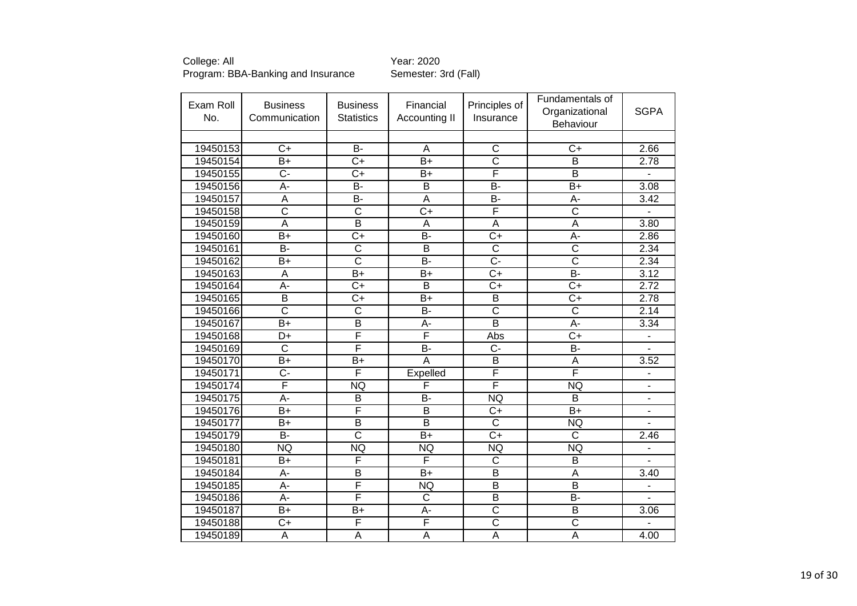| Exam Roll<br>No. | <b>Business</b><br>Communication | <b>Business</b><br><b>Statistics</b> | Financial<br>Accounting II | Principles of<br>Insurance | Fundamentals of<br>Organizational<br>Behaviour | <b>SGPA</b>    |
|------------------|----------------------------------|--------------------------------------|----------------------------|----------------------------|------------------------------------------------|----------------|
|                  |                                  |                                      |                            |                            |                                                |                |
| 19450153         | $C+$                             | $\overline{B}$                       | A                          | C                          | $C+$                                           | 2.66           |
| 19450154         | $\overline{B}$                   | $C+$                                 | $B+$                       | $\overline{\text{C}}$      | B                                              | 2.78           |
| 19450155         | $\overline{C}$ -                 | $\overline{C+}$                      | $B+$                       | F                          | $\overline{\mathsf{B}}$                        |                |
| 19450156         | A-                               | <b>B-</b>                            | B                          | <b>B-</b>                  | $B+$                                           | 3.08           |
| 19450157         | $\overline{A}$                   | B-                                   | $\overline{A}$             | $\overline{B}$             | А-                                             | 3.42           |
| 19450158         | $\overline{\text{c}}$            | $\overline{\text{c}}$                | $\overline{C+}$            | F                          | $\overline{\text{c}}$                          |                |
| 19450159         | $\overline{A}$                   | B                                    | A                          | A                          | A                                              | 3.80           |
| 19450160         | $\overline{B+}$                  | $\overline{C+}$                      | $\overline{B}$             | $\overline{C+}$            | $\overline{A}$ -                               | 2.86           |
| 19450161         | <b>B-</b>                        | $\overline{\text{c}}$                | B                          | $\overline{\text{c}}$      | $\overline{\text{c}}$                          | 2.34           |
| 19450162         | $B+$                             | $\overline{\text{c}}$                | $\overline{B}$             | $\overline{C}$ -           | $\overline{\text{c}}$                          | 2.34           |
| 19450163         | A                                | $\overline{B+}$                      | $B+$                       | $\overline{C}$             | $B -$                                          | 3.12           |
| 19450164         | A-                               | $\overline{C+}$                      | B                          | $C+$                       | $\overline{C+}$                                | 2.72           |
| 19450165         | B                                | $C+$                                 | $B+$                       | B                          | $C+$                                           | 2.78           |
| 19450166         | $\overline{\text{c}}$            | $\overline{\text{c}}$                | $\overline{B}$             | $\overline{\text{c}}$      | $\overline{\text{c}}$                          | 2.14           |
| 19450167         | $B+$                             | $\overline{B}$                       | A-                         | $\overline{\mathsf{B}}$    | A-                                             | 3.34           |
| 19450168         | D+                               | F                                    | F                          | Abs                        | $C+$                                           | $\overline{a}$ |
| 19450169         | $\overline{\mathsf{C}}$          | F                                    | $\overline{B}$             | Ċ-                         | $\overline{B}$                                 |                |
| 19450170         | $B+$                             | $B+$                                 | $\overline{A}$             | $\overline{B}$             | A                                              | 3.52           |
| 19450171         | C-                               | F                                    | Expelled                   | F                          | F                                              |                |
| 19450174         | F                                | <b>NQ</b>                            | F                          | F                          | <b>NQ</b>                                      | ۰              |
| 19450175         | $\overline{A}$ -                 | B                                    | $\overline{B}$             | <b>NQ</b>                  | $\overline{\mathsf{B}}$                        | L,             |
| 19450176         | $B+$                             | F                                    | B                          | $C+$                       | $B+$                                           | L,             |
| 19450177         | $\overline{B+}$                  | $\overline{\mathsf{B}}$              | $\overline{\mathsf{B}}$    | $\overline{\text{c}}$      | NQ                                             |                |
| 19450179         | $\overline{B}$                   | $\overline{\text{c}}$                | $\overline{B+}$            | $\overline{C+}$            | $\overline{\text{c}}$                          | 2.46           |
| 19450180         | <b>NQ</b>                        | <b>NQ</b>                            | <b>NQ</b>                  | <b>NQ</b>                  | <b>NQ</b>                                      |                |
| 19450181         | $B+$                             | F                                    | F                          | $\overline{\text{c}}$      | $\overline{\mathsf{B}}$                        | $\overline{a}$ |
| 19450184         | А-                               | B                                    | $B+$                       | B                          | A                                              | 3.40           |
| 19450185         | A-                               | F                                    | <b>NQ</b>                  | B                          | B                                              | $\overline{a}$ |
| 19450186         | A-                               | F                                    | $\overline{C}$             | B                          | B-                                             | $\overline{a}$ |
| 19450187         | $B+$                             | $B+$                                 | A-                         | $\overline{\text{c}}$      | B                                              | 3.06           |
| 19450188         | $C+$                             | F                                    | F                          | $\overline{\text{c}}$      | $\overline{\text{c}}$                          |                |
| 19450189         | $\overline{A}$                   | $\overline{\mathsf{A}}$              | $\overline{A}$             | $\overline{\mathsf{A}}$    | $\overline{\mathsf{A}}$                        | 4.00           |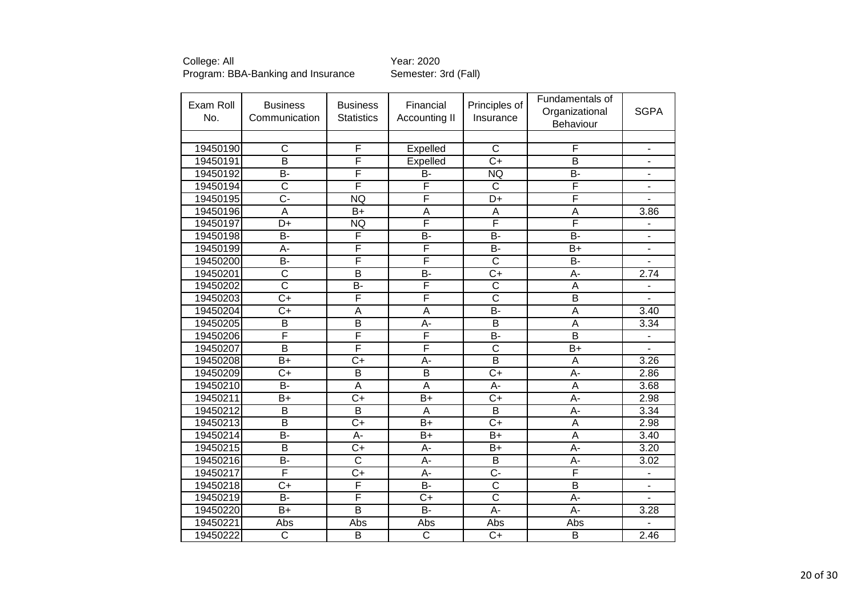| Exam Roll<br>No. | <b>Business</b><br>Communication | <b>Business</b><br><b>Statistics</b> | Financial<br>Accounting II | Principles of<br>Insurance | Fundamentals of<br>Organizational<br>Behaviour | <b>SGPA</b>              |
|------------------|----------------------------------|--------------------------------------|----------------------------|----------------------------|------------------------------------------------|--------------------------|
|                  |                                  |                                      |                            |                            |                                                |                          |
| 19450190         | C                                | $\overline{F}$                       | Expelled                   | $\mathsf{C}$               | F                                              | $\blacksquare$           |
| 19450191         | $\overline{\mathsf{B}}$          | F                                    | Expelled                   | $\overline{C}$             | $\overline{B}$                                 | $\overline{\phantom{a}}$ |
| 19450192         | B-                               | F                                    | B-                         | <b>NQ</b>                  | B-                                             | $\blacksquare$           |
| 19450194         | $\overline{\text{c}}$            | $\overline{\mathsf{F}}$              | F                          | $\overline{\text{c}}$      | F                                              |                          |
| 19450195         | $\overline{C}$ -                 | <b>NQ</b>                            | F                          | $\overline{D+}$            | F                                              |                          |
| 19450196         | $\overline{A}$                   | $B+$                                 | $\overline{A}$             | A                          | A                                              | 3.86                     |
| 19450197         | D+                               | <b>NQ</b>                            | F                          | F                          | F                                              |                          |
| 19450198         | $\overline{B}$                   | F                                    | $\overline{B}$             | B-                         | B-                                             | L,                       |
| 19450199         | $\overline{A}$ -                 | F                                    | F                          | $\overline{B}$             | $B+$                                           | $\overline{\phantom{a}}$ |
| 19450200         | <b>B-</b>                        | F                                    | F                          | $\overline{\text{c}}$      | <b>B-</b>                                      |                          |
| 19450201         | $\overline{\text{c}}$            | $\overline{\mathsf{B}}$              | $\overline{B}$             | $\overline{C+}$            | A-                                             | 2.74                     |
| 19450202         | $\overline{\text{c}}$            | $\overline{B}$                       | F                          | $\overline{\text{c}}$      | A                                              | $\overline{\phantom{a}}$ |
| 19450203         | $\overline{C}$                   | F                                    | F                          | $\overline{\text{c}}$      | $\overline{B}$                                 |                          |
| 19450204         | $\overline{C}$                   | A                                    | $\overline{A}$             | B-                         | A                                              | 3.40                     |
| 19450205         | B                                | B                                    | A-                         | B                          | A                                              | 3.34                     |
| 19450206         | F                                | F                                    | F                          | <b>B-</b>                  | B                                              | $\overline{a}$           |
| 19450207         | $\overline{\mathsf{B}}$          | F                                    | F                          | $\overline{\mathsf{C}}$    | $\overline{B+}$                                | $\overline{a}$           |
| 19450208         | $B+$                             | $C+$                                 | A-                         | $\overline{B}$             | A                                              | 3.26                     |
| 19450209         | $\overline{C+}$                  | $\overline{B}$                       | $\overline{\mathsf{B}}$    | $\overline{C+}$            | $\overline{A}$                                 | 2.86                     |
| 19450210         | $\overline{B}$                   | $\overline{A}$                       | $\overline{\mathsf{A}}$    | $\overline{A}$ -           | $\overline{A}$                                 | 3.68                     |
| 19450211         | $B+$                             | $\overline{C}$                       | $B+$                       | $C+$                       | A-                                             | 2.98                     |
| 19450212         | $\overline{B}$                   | $\overline{B}$                       | $\overline{A}$             | $\overline{B}$             | A-                                             | 3.34                     |
| 19450213         | $\overline{\mathsf{B}}$          | $\overline{C+}$                      | $\overline{B+}$            | $\overline{C+}$            | $\overline{A}$                                 | 2.98                     |
| 19450214         | $\overline{B}$                   | A-                                   | $B+$                       | $B+$                       | A                                              | 3.40                     |
| 19450215         | $\overline{B}$                   | $\overline{C}$                       | A-                         | $B+$                       | A-                                             | 3.20                     |
| 19450216         | $\overline{B}$                   | $\overline{\mathsf{C}}$              | $\overline{A}$ -           | $\overline{B}$             | A-                                             | 3.02                     |
| 19450217         | F                                | $\overline{C+}$                      | A-                         | $\overline{C}$ -           | F                                              | ÷                        |
| 19450218         | $C+$                             | $\overline{F}$                       | <b>B-</b>                  | $\overline{\text{c}}$      | $\overline{\mathsf{B}}$                        | $\blacksquare$           |
| 19450219         | $\overline{B}$                   | F                                    | $\overline{C+}$            | $\overline{\text{c}}$      | $\overline{A}$ -                               | ÷,                       |
| 19450220         | $B+$                             | B                                    | <b>B-</b>                  | A-                         | A-                                             | 3.28                     |
| 19450221         | Abs                              | Abs                                  | Abs                        | Abs                        | Abs                                            |                          |
| 19450222         | $\overline{\text{c}}$            | $\overline{B}$                       | $\overline{\text{c}}$      | $\overline{C}$             | $\overline{B}$                                 | 2.46                     |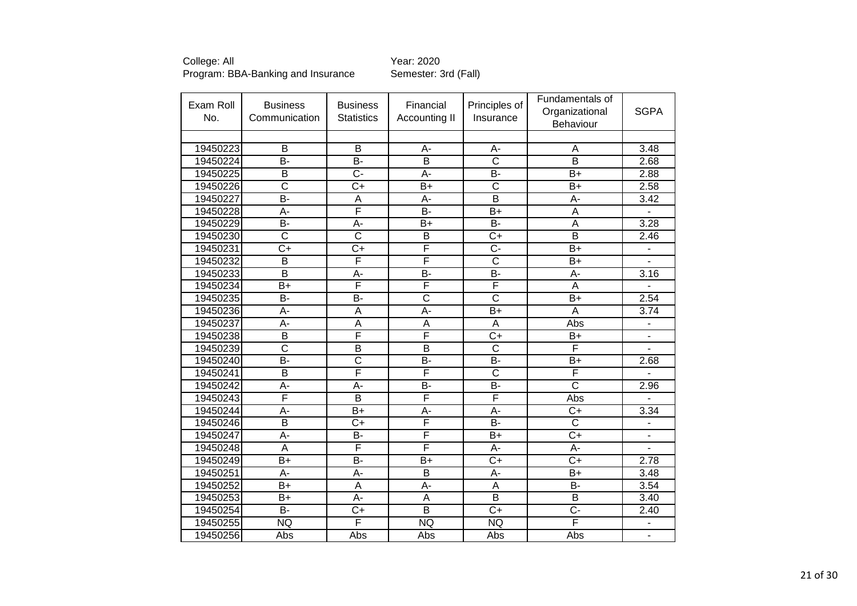| Exam Roll<br>No. | <b>Business</b><br>Communication | <b>Business</b><br><b>Statistics</b> | Financial<br>Accounting II | Principles of<br>Insurance | Fundamentals of<br>Organizational<br>Behaviour | <b>SGPA</b>                  |
|------------------|----------------------------------|--------------------------------------|----------------------------|----------------------------|------------------------------------------------|------------------------------|
|                  |                                  |                                      |                            |                            |                                                |                              |
| 19450223         | B                                | B                                    | A-                         | А-                         | A                                              | 3.48                         |
| 19450224         | $\overline{B}$                   | B-                                   | $\overline{B}$             | $\overline{\text{c}}$      | $\overline{\mathsf{B}}$                        | 2.68                         |
| 19450225         | $\overline{B}$                   | $\overline{C}$                       | A-                         | B-                         | $B+$                                           | 2.88                         |
| 19450226         | $\overline{\text{c}}$            | $C+$                                 | $B+$                       | $\overline{\text{c}}$      | $B+$                                           | 2.58                         |
| 19450227         | B-                               | A                                    | A-                         | $\overline{\mathsf{B}}$    | $\overline{A}$ -                               | 3.42                         |
| 19450228         | $\overline{A}$ -                 | F                                    | $\overline{B}$             | $\overline{B+}$            | $\overline{\mathsf{A}}$                        |                              |
| 19450229         | $\overline{B}$                   | $A -$                                | $B+$                       | B-                         | A                                              | 3.28                         |
| 19450230         | $\overline{\text{c}}$            | $\overline{\mathsf{C}}$              | B                          | $C+$                       | $\overline{B}$                                 | 2.46                         |
| 19450231         | $\overline{C}$                   | $\overline{C+}$                      | F                          | $\overline{C}$ -           | $B+$                                           |                              |
| 19450232         | B                                | $\overline{\mathsf{F}}$              | F                          | $\overline{\text{C}}$      | $B+$                                           |                              |
| 19450233         | $\overline{\mathsf{B}}$          | $\overline{A}$ -                     | $\overline{B}$             | $\overline{B}$             | $\overline{A}$ -                               | $\overline{3.16}$            |
| 19450234         | $B+$                             | F                                    | F                          | F                          | A                                              |                              |
| 19450235         | $\overline{B}$                   | B-                                   | $\overline{\text{c}}$      | $\overline{\text{c}}$      | $B+$                                           | 2.54                         |
| 19450236         | A-                               | A                                    | $\overline{A}$ -           | $B+$                       | A                                              | 3.74                         |
| 19450237         | A-                               | A                                    | A                          | A                          | Abs                                            | $\qquad \qquad \blacksquare$ |
| 19450238         | $\overline{B}$                   | $\overline{\mathsf{F}}$              | F                          | $C+$                       | $B+$                                           | $\blacksquare$               |
| 19450239         | $\overline{\text{c}}$            | B                                    | $\overline{B}$             | $\overline{\text{C}}$      | F                                              | L.                           |
| 19450240         | B-                               | $\overline{\mathrm{c}}$              | <b>B-</b>                  | B-                         | $B+$                                           | 2.68                         |
| 19450241         | B                                | F                                    | F                          | $\overline{\text{C}}$      | F                                              |                              |
| 19450242         | $A -$                            | $\overline{A}$ -                     | $\overline{B}$             | $\overline{B}$             | $\overline{\text{c}}$                          | 2.96                         |
| 19450243         | F                                | B                                    | F                          | F                          | Abs                                            |                              |
| 19450244         | A-                               | $B+$                                 | A-                         | A-                         | $C+$                                           | 3.34                         |
| 19450246         | $\overline{\mathsf{B}}$          | $\overline{C+}$                      | F                          | $\overline{B}$             | $\overline{\text{c}}$                          |                              |
| 19450247         | $\overline{A}$ -                 | <b>B-</b>                            | F                          | $B+$                       | $\overline{C+}$                                | ÷,                           |
| 19450248         | A                                | F                                    | F                          | A-                         | A-                                             |                              |
| 19450249         | $\overline{B+}$                  | $\overline{B}$                       | $\overline{B+}$            | $\overline{C}$             | $\overline{C+}$                                | 2.78                         |
| 19450251         | A-                               | A-                                   | $\overline{B}$             | A-                         | $B+$                                           | 3.48                         |
| 19450252         | $B+$                             | A                                    | A-                         | A                          | B-                                             | 3.54                         |
| 19450253         | $\overline{B+}$                  | $\overline{A}$ -                     | $\overline{A}$             | $\overline{\mathsf{B}}$    | $\overline{\mathsf{B}}$                        | 3.40                         |
| 19450254         | <b>B-</b>                        | $C+$                                 | B                          | $C+$                       | $C -$                                          | 2.40                         |
| 19450255         | <b>NQ</b>                        | F                                    | <b>NQ</b>                  | NQ                         | F                                              | $\frac{1}{2}$                |
| 19450256         | Abs                              | Abs                                  | Abs                        | Abs                        | Abs                                            | $\blacksquare$               |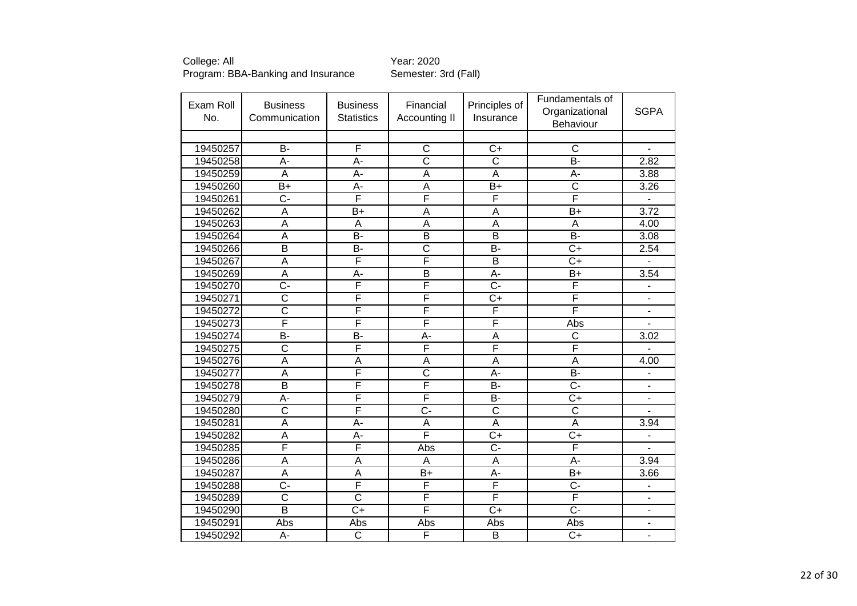| Exam Roll<br>No. | <b>Business</b><br>Communication | <b>Business</b><br><b>Statistics</b> | Financial<br>Accounting II | Principles of<br>Insurance | Fundamentals of<br>Organizational<br><b>Behaviour</b> | <b>SGPA</b>                  |
|------------------|----------------------------------|--------------------------------------|----------------------------|----------------------------|-------------------------------------------------------|------------------------------|
|                  |                                  |                                      |                            |                            |                                                       |                              |
| 19450257         | <b>B-</b>                        | F                                    | $\mathsf C$                | $C+$                       | $\mathsf{C}$                                          | $\overline{a}$               |
| 19450258         | $\overline{A}$ -                 | A-                                   | $\overline{\text{c}}$      | $\overline{\text{c}}$      | $\overline{B}$ -                                      | 2.82                         |
| 19450259         | A                                | A-                                   | A                          | A                          | A-                                                    | 3.88                         |
| 19450260         | $B+$                             | A-                                   | A                          | $B+$                       | $\overline{\text{c}}$                                 | 3.26                         |
| 19450261         | $\overline{C}$ -                 | F                                    | F                          | F                          | F                                                     |                              |
| 19450262         | $\overline{A}$                   | $B+$                                 | A                          | $\overline{\mathsf{A}}$    | $B+$                                                  | 3.72                         |
| 19450263         | A                                | A                                    | A                          | A                          | Α                                                     | 4.00                         |
| 19450264         | $\overline{\mathsf{A}}$          | $\overline{B}$                       | $\overline{\mathsf{B}}$    | $\overline{\mathsf{B}}$    | $\overline{B}$ -                                      | 3.08                         |
| 19450266         | B                                | B-                                   | $\overline{\text{c}}$      | B-                         | $C+$                                                  | 2.54                         |
| 19450267         | $\overline{A}$                   | F                                    | F                          | $\overline{B}$             | $\overline{C}$                                        |                              |
| 19450269         | $\overline{A}$                   | A-                                   | $\overline{\mathsf{B}}$    | A-                         | $B+$                                                  | 3.54                         |
| 19450270         | $\overline{C}$ -                 | F                                    | F                          | $\overline{C}$             | F                                                     | $\qquad \qquad \blacksquare$ |
| 19450271         | $\overline{\text{c}}$            | F                                    | F                          | $C+$                       | F                                                     | $\qquad \qquad \blacksquare$ |
| 19450272         | $\overline{\mathsf{C}}$          | F                                    | F                          | F                          | F                                                     | $\qquad \qquad \blacksquare$ |
| 19450273         | F                                | F                                    | F                          | F                          | Abs                                                   | ä,                           |
| 19450274         | B-                               | B-                                   | A-                         | A                          | C                                                     | 3.02                         |
| 19450275         | $\overline{\text{C}}$            | F                                    | F                          | F                          | F                                                     |                              |
| 19450276         | A                                | A                                    | A                          | A                          | A                                                     | 4.00                         |
| 19450277         | $\overline{A}$                   | F                                    | $\overline{\text{c}}$      | A-                         | $\overline{B}$                                        |                              |
| 19450278         | $\overline{B}$                   | F                                    | F                          | B-                         | $\overline{C}$ -                                      |                              |
| 19450279         | $A -$                            | F                                    | F                          | $\overline{B}$             | $C+$                                                  |                              |
| 19450280         | $\overline{\text{c}}$            | F                                    | $\overline{C}$             | $\overline{\text{C}}$      | $\overline{\text{c}}$                                 |                              |
| 19450281         | $\overline{\mathsf{A}}$          | $A -$                                | $\overline{\mathsf{A}}$    | $\overline{\mathsf{A}}$    | $\overline{\mathsf{A}}$                               | 3.94                         |
| 19450282         | A                                | A-                                   | F                          | $C+$                       | $C+$                                                  |                              |
| 19450285         | F                                | F                                    | Abs                        | $\overline{C}$             | F                                                     |                              |
| 19450286         | $\overline{A}$                   | A                                    | A                          | A                          | A-                                                    | 3.94                         |
| 19450287         | $\overline{A}$                   | A                                    | $B+$                       | A-                         | $B+$                                                  | 3.66                         |
| 19450288         | $\overline{C}$ -                 | F                                    | F                          | F                          | C-                                                    | $\overline{\phantom{0}}$     |
| 19450289         | $\overline{\text{c}}$            | $\overline{\text{c}}$                | F                          | F                          | F                                                     | $\overline{\phantom{a}}$     |
| 19450290         | B                                | $C+$                                 | F                          | $C+$                       | $C -$                                                 | $\overline{\phantom{a}}$     |
| 19450291         | Abs                              | Abs                                  | Abs                        | Abs                        | Abs                                                   | $\overline{\phantom{a}}$     |
| 19450292         | A-                               | $\overline{\text{C}}$                | F                          | $\overline{\mathsf{B}}$    | $C+$                                                  | $\blacksquare$               |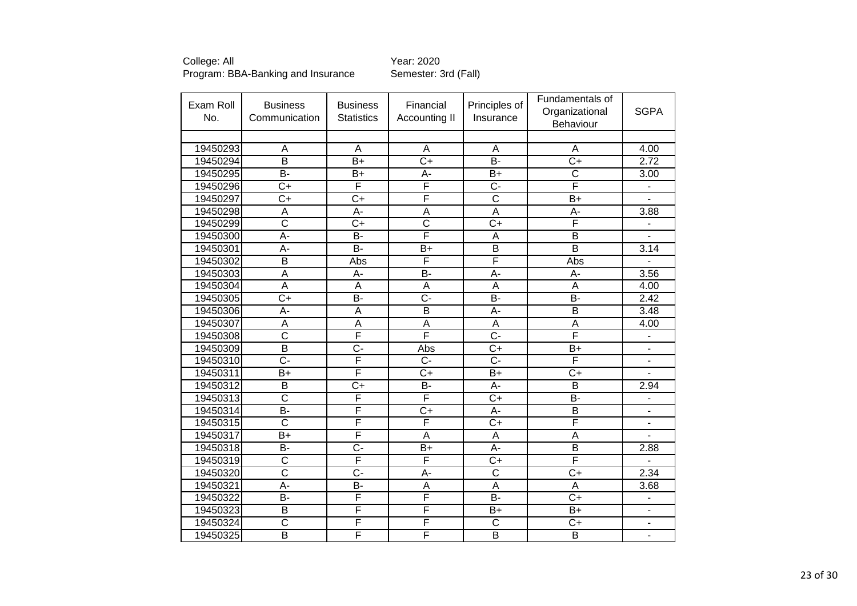| Exam Roll<br>No. | <b>Business</b><br>Communication | <b>Business</b><br><b>Statistics</b> | Financial<br>Accounting II | Principles of<br>Insurance         | Fundamentals of<br>Organizational<br>Behaviour | <b>SGPA</b>              |
|------------------|----------------------------------|--------------------------------------|----------------------------|------------------------------------|------------------------------------------------|--------------------------|
|                  |                                  |                                      |                            |                                    |                                                |                          |
| 19450293         | A                                | $\overline{A}$                       | $\overline{A}$             | $\overline{A}$                     | A                                              | 4.00                     |
| 19450294         | B                                | $\overline{B}$                       | $\overline{C+}$            | $\overline{B}$                     | $\overline{C+}$                                | 2.72                     |
| 19450295         | B-                               | B+                                   | А-                         | B+                                 | C                                              | 3.00                     |
| 19450296         | $\overline{C}$                   | F                                    | F                          | $\overline{C}$                     | F                                              |                          |
| 19450297         | $\overline{C+}$                  | $C+$                                 | F                          | $\overline{\text{c}}$              | $B+$                                           |                          |
| 19450298         | $\overline{A}$                   | A-                                   | A                          | $\overline{\mathsf{A}}$            | A-                                             | 3.88                     |
| 19450299         | $\overline{\text{c}}$            | $C+$                                 | $\overline{\text{C}}$      | C+                                 | F                                              |                          |
| 19450300         | $A -$                            | $B -$                                | F                          | $\overline{\mathsf{A}}$            | $\overline{\mathsf{B}}$                        |                          |
| 19450301         | A-                               | <b>B-</b>                            | $B+$                       | B                                  | $\overline{\mathsf{B}}$                        | 3.14                     |
| 19450302         | $\overline{B}$                   | Abs                                  | F                          | $\overline{\overline{\mathsf{F}}}$ | Abs                                            |                          |
| 19450303         | $\overline{A}$                   | A-                                   | $\overline{B}$             | $\overline{A}$ -                   | А-                                             | 3.56                     |
| 19450304         | $\overline{A}$                   | A                                    | A                          | A                                  | A                                              | 4.00                     |
| 19450305         | $C+$                             | $B -$                                | C-                         | B-                                 | B-                                             | 2.42                     |
| 19450306         | A-                               | A                                    | $\overline{\mathsf{B}}$    | A-                                 | $\overline{\mathsf{B}}$                        | 3.48                     |
| 19450307         | A                                | A                                    | A                          | $\overline{A}$                     | A                                              | 4.00                     |
| 19450308         | $\overline{\text{c}}$            | F                                    | F                          | $\overline{C}$                     | F                                              | L,                       |
| 19450309         | $\overline{\mathsf{B}}$          | $\overline{C}$ -                     | Abs                        | $\overline{C}$                     | $\overline{B+}$                                | $\blacksquare$           |
| 19450310         | $\overline{C}$ -                 | F                                    | $C -$                      | $\overline{C}$                     | F                                              |                          |
| 19450311         | $B+$                             | F                                    | $C+$                       | $B+$                               | $C+$                                           |                          |
| 19450312         | B                                | $\overline{C+}$                      | B-                         | A-                                 | $\overline{\mathsf{B}}$                        | 2.94                     |
| 19450313         | $\overline{\text{c}}$            | F                                    | F                          | $C+$                               | <b>B-</b>                                      |                          |
| 19450314         | $\overline{B}$                   | F                                    | $C+$                       | A-                                 | $\overline{\mathsf{B}}$                        |                          |
| 19450315         | $\overline{\text{c}}$            | F                                    | F                          | $\overline{C+}$                    | F                                              | ä,                       |
| 19450317         | $B+$                             | F                                    | A                          | A                                  | A                                              |                          |
| 19450318         | $\overline{B}$                   | $\overline{C}$ -                     | $\overline{B+}$            | A-                                 | $\overline{\mathsf{B}}$                        | 2.88                     |
| 19450319         | $\overline{\text{c}}$            | F                                    | F                          | $C+$                               | F                                              |                          |
| 19450320         | $\overline{\text{c}}$            | $\overline{C}$ -                     | A-                         | $\overline{\text{c}}$              | $C+$                                           | 2.34                     |
| 19450321         | А-                               | B-                                   | A                          | A                                  | Α                                              | 3.68                     |
| 19450322         | B-                               | F                                    | F                          | B-                                 | $\overline{C}$                                 | $\overline{a}$           |
| 19450323         | B                                | F                                    | F                          | B+                                 | $B+$                                           | $\overline{\phantom{a}}$ |
| 19450324         | $\overline{\text{c}}$            | F                                    | F                          | $\overline{\text{c}}$              | $C+$                                           |                          |
| 19450325         | $\overline{\mathsf{B}}$          | F                                    | F                          | $\overline{\mathsf{B}}$            | $\overline{\mathsf{B}}$                        | $\blacksquare$           |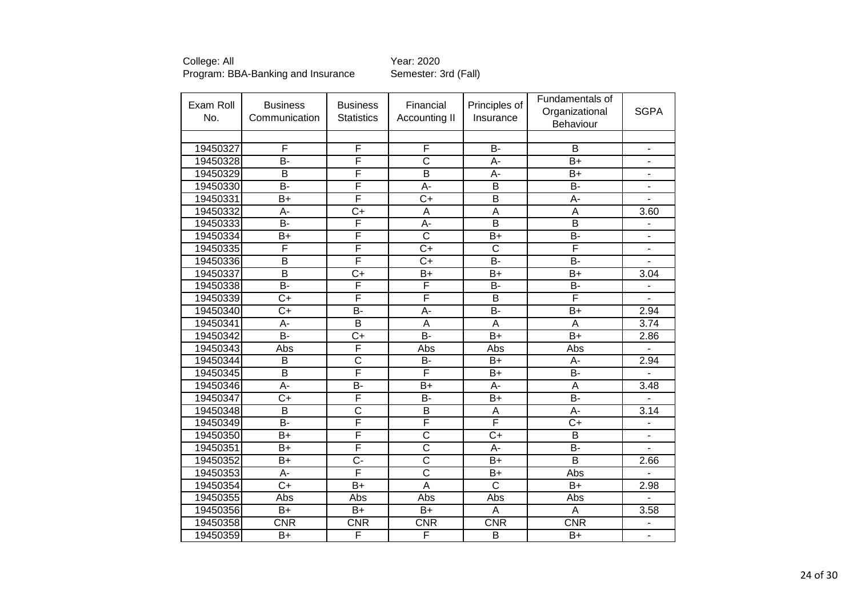| Exam Roll<br>No. | <b>Business</b><br>Communication | <b>Business</b><br><b>Statistics</b> | Financial<br>Accounting II | Principles of<br>Insurance | Fundamentals of<br>Organizational<br>Behaviour | <b>SGPA</b>              |
|------------------|----------------------------------|--------------------------------------|----------------------------|----------------------------|------------------------------------------------|--------------------------|
|                  |                                  |                                      |                            |                            |                                                |                          |
| 19450327         | F                                | F                                    | F                          | B-                         | B                                              | $\overline{\phantom{a}}$ |
| 19450328         | $\overline{B}$                   | F                                    | $\overline{\text{c}}$      | $\overline{A}$ -           | $\overline{B+}$                                | $\overline{a}$           |
| 19450329         | B                                | F                                    | $\overline{B}$             | A-                         | $B+$                                           | -                        |
| 19450330         | $\overline{B}$                   | $\overline{F}$                       | A-                         | B                          | <b>B-</b>                                      |                          |
| 19450331         | $\overline{B+}$                  | F                                    | $\overline{C+}$            | $\overline{B}$             | $\overline{A}$ -                               | L,                       |
| 19450332         | $\overline{A}$ -                 | $\overline{C+}$                      | $\overline{A}$             | $\overline{\mathsf{A}}$    | $\overline{A}$                                 | 3.60                     |
| 19450333         | $\overline{B}$                   | F                                    | A-                         | $\overline{B}$             | $\overline{B}$                                 |                          |
| 19450334         | $B+$                             | F                                    | $\overline{\text{c}}$      | $B+$                       | B-                                             | ä,                       |
| 19450335         | $\overline{\mathsf{F}}$          | $\overline{\mathsf{F}}$              | $\overline{C}$             | $\overline{\text{c}}$      | $\overline{\mathsf{F}}$                        | L,                       |
| 19450336         | B                                | $\overline{\mathsf{F}}$              | $C+$                       | <b>B-</b>                  | $\overline{B}$                                 |                          |
| 19450337         | $\overline{\mathsf{B}}$          | $\overline{C+}$                      | $\overline{B+}$            | $\overline{B+}$            | $\overline{B+}$                                | 3.04                     |
| 19450338         | $\overline{B}$                   | $\overline{F}$                       | F                          | <b>B-</b>                  | <b>B-</b>                                      | $\overline{a}$           |
| 19450339         | $\overline{C+}$                  | $\overline{\mathsf{F}}$              | F                          | B                          | F                                              | $\blacksquare$           |
| 19450340         | $\overline{C+}$                  | $\overline{B}$                       | $\overline{A}$ -           | $\overline{B}$             | $\overline{B+}$                                | 2.94                     |
| 19450341         | А-                               | $\overline{B}$                       | $\overline{A}$             | A                          | A                                              | 3.74                     |
| 19450342         | $\overline{B}$                   | $C+$                                 | $\overline{B}$             | $B+$                       | $\overline{B+}$                                | 2.86                     |
| 19450343         | Abs                              | F                                    | Abs                        | Abs                        | Abs                                            | $\overline{a}$           |
| 19450344         | B                                | $\overline{C}$                       | <b>B-</b>                  | $B+$                       | A-                                             | 2.94                     |
| 19450345         | B                                | $\overline{\mathsf{F}}$              | F                          | $B+$                       | <b>B-</b>                                      | $\overline{a}$           |
| 19450346         | $A -$                            | $B -$                                | $\overline{B}$             | $A -$                      | $\overline{A}$                                 | 3.48                     |
| 19450347         | $C+$                             | F                                    | <b>B-</b>                  | $B+$                       | $\overline{B}$                                 |                          |
| 19450348         | $\overline{\mathsf{B}}$          | $\overline{\text{c}}$                | $\overline{B}$             | A                          | $\overline{A}$ -                               | 3.14                     |
| 19450349         | $\overline{B}$                   | F                                    | F                          | F                          | $\overline{C+}$                                |                          |
| 19450350         | $\overline{B+}$                  | $\overline{F}$                       | $\overline{\text{c}}$      | $\overline{C+}$            | $\overline{B}$                                 |                          |
| 19450351         | $B+$                             | F                                    | $\overline{\text{c}}$      | A-                         | $\overline{B}$                                 |                          |
| 19450352         | $\overline{B+}$                  | $\overline{C}$                       | $\overline{\text{c}}$      | $\overline{B+}$            | $\overline{\mathsf{B}}$                        | 2.66                     |
| 19450353         | A-                               | F                                    | $\overline{\text{c}}$      | $B+$                       | Abs                                            |                          |
| 19450354         | $\overline{C}$                   | $B+$                                 | $\overline{A}$             | $\overline{\text{C}}$      | $B+$                                           | 2.98                     |
| 19450355         | Abs                              | Abs                                  | Abs                        | Abs                        | Abs                                            | $\overline{a}$           |
| 19450356         | $B+$                             | $B+$                                 | $B+$                       | A                          | A                                              | 3.58                     |
| 19450358         | CNR                              | <b>CNR</b>                           | <b>CNR</b>                 | <b>CNR</b>                 | <b>CNR</b>                                     | $\overline{a}$           |
| 19450359         | $B+$                             | F                                    | F                          | $\overline{B}$             | $B+$                                           | $\frac{1}{2}$            |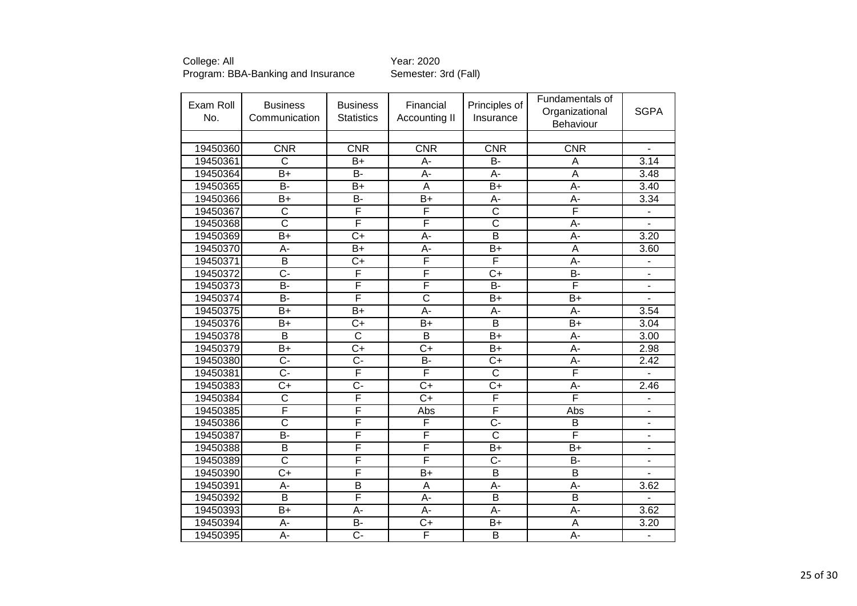College: All <br>Program: BBA-Banking and Insurance Semester: 3rd (Fall) Program: BBA-Banking and Insurance

| Exam Roll<br>No. | <b>Business</b><br>Communication | <b>Business</b><br><b>Statistics</b> | Financial<br>Accounting II | Principles of<br>Insurance | Fundamentals of<br>Organizational<br>Behaviour | <b>SGPA</b>              |
|------------------|----------------------------------|--------------------------------------|----------------------------|----------------------------|------------------------------------------------|--------------------------|
|                  |                                  |                                      |                            |                            |                                                |                          |
| 19450360         | <b>CNR</b>                       | <b>CNR</b>                           | <b>CNR</b>                 | <b>CNR</b>                 | <b>CNR</b>                                     |                          |
| 19450361         | $\overline{\text{c}}$            | B+                                   | A-                         | B-                         | A                                              | 3.14                     |
| 19450364         | $B+$                             | $\overline{B}$                       | A-                         | A-                         | A                                              | 3.48                     |
| 19450365         | $\overline{B}$                   | $B+$                                 | A                          | $B+$                       | A-                                             | 3.40                     |
| 19450366         | $B+$                             | B-                                   | $B+$                       | А-                         | A-                                             | 3.34                     |
| 19450367         | $\overline{\text{c}}$            | F                                    | F                          | $\overline{\text{c}}$      | F                                              | $\blacksquare$           |
| 19450368         | $\overline{\text{c}}$            | F                                    | F                          | $\overline{\text{c}}$      | A-                                             |                          |
| 19450369         | $\overline{B+}$                  | $\overline{C+}$                      | $\overline{A}$ -           | $\overline{\mathsf{B}}$    | A-                                             | 3.20                     |
| 19450370         | A-                               | $B+$                                 | A-                         | $B+$                       | A                                              | 3.60                     |
| 19450371         | B                                | $C+$                                 | F                          | F                          | A-                                             | $\overline{\phantom{0}}$ |
| 19450372         | $\overline{C}$ -                 | F                                    | F                          | $\overline{C+}$            | $\overline{B}$                                 | $\overline{\phantom{0}}$ |
| 19450373         | <b>B-</b>                        | F                                    | F                          | <b>B-</b>                  | F                                              | $\blacksquare$           |
| 19450374         | $\overline{B}$                   | F                                    | $\overline{\text{c}}$      | $B+$                       | $B+$                                           | L,                       |
| 19450375         | $B+$                             | B+                                   | A-                         | А-                         | А-                                             | 3.54                     |
| 19450376         | $B+$                             | $C+$                                 | $B+$                       | $\overline{\mathsf{B}}$    | $B+$                                           | 3.04                     |
| 19450378         | $\overline{B}$                   | $\overline{\text{c}}$                | $\overline{\mathsf{B}}$    | $B+$                       | A-                                             | 3.00                     |
| 19450379         | $\overline{B+}$                  | $\overline{C+}$                      | $\overline{C+}$            | $B+$                       | A-                                             | 2.98                     |
| 19450380         | $\overline{C}$ -                 | C-                                   | <b>B-</b>                  | $C+$                       | A-                                             | 2.42                     |
| 19450381         | $\overline{C}$                   | F                                    | F                          | $\overline{\text{C}}$      | F                                              |                          |
| 19450383         | $\overline{C}$                   | $\overline{C}$ -                     | $\overline{C}$             | $\overline{C}$             | $\overline{A}$ -                               | 2.46                     |
| 19450384         | $\overline{\text{c}}$            | F                                    | $C+$                       | F                          | F                                              |                          |
| 19450385         | F                                | F                                    | Abs                        | F                          | Abs                                            | ÷,                       |
| 19450386         | $\overline{\mathsf{C}}$          | F                                    | F                          | <del>.</del>               | B                                              | $\blacksquare$           |
| 19450387         | $\overline{B}$                   | F                                    | F                          | $\overline{\text{c}}$      | F                                              | $\blacksquare$           |
| 19450388         | $\overline{B}$                   | F                                    | F                          | $B+$                       | $B+$                                           | ä,                       |
| 19450389         | $\overline{\text{c}}$            | F                                    | F                          | $\overline{C}$ -           | B-                                             | $\blacksquare$           |
| 19450390         | $\overline{C}$                   | F                                    | $B+$                       | $\overline{\mathsf{B}}$    | $\overline{\mathsf{B}}$                        |                          |
| 19450391         | А-                               | B                                    | A                          | А-                         | A-                                             | 3.62                     |
| 19450392         | $\overline{B}$                   | F                                    | A-                         | $\overline{\mathsf{B}}$    | $\overline{\mathsf{B}}$                        |                          |
| 19450393         | $B+$                             | A-                                   | А-                         | A-                         | A-                                             | 3.62                     |
| 19450394         | A-                               | $\overline{B}$                       | $C+$                       | $B+$                       | A                                              | 3.20                     |
| 19450395         | A-                               | Ç-                                   | F                          | $\overline{\mathsf{B}}$    | A-                                             | $\blacksquare$           |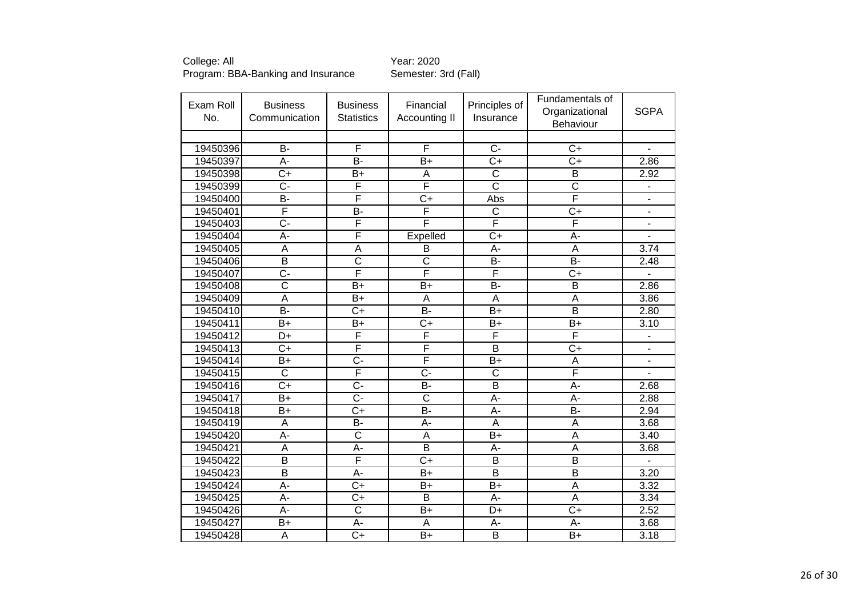| Exam Roll<br>No. | <b>Business</b><br>Communication | <b>Business</b><br><b>Statistics</b> | Financial<br>Accounting II | Principles of<br>Insurance         | Fundamentals of<br>Organizational<br>Behaviour | <b>SGPA</b>              |
|------------------|----------------------------------|--------------------------------------|----------------------------|------------------------------------|------------------------------------------------|--------------------------|
|                  |                                  |                                      |                            |                                    |                                                |                          |
| 19450396         | $\overline{B}$                   | F                                    | F                          | $\overline{C}$                     | $C+$                                           | $\blacksquare$           |
| 19450397         | A-                               | <b>B-</b>                            | $B+$                       | C+                                 | $C+$                                           | 2.86                     |
| 19450398         | $\overline{C}$                   | $B+$                                 | A                          | $\overline{\text{c}}$              | $\overline{\mathsf{B}}$                        | 2.92                     |
| 19450399         | $C -$                            | F                                    | F                          | $\overline{\text{C}}$              | $\overline{\text{c}}$                          |                          |
| 19450400         | B-                               | F                                    | $\overline{C+}$            | Abs                                | F                                              | $\overline{a}$           |
| 19450401         | F                                | B-                                   | F                          | $\overline{\text{c}}$              | $C+$                                           |                          |
| 19450403         | $\overline{C}$                   | F                                    | F                          | $\overline{\overline{\mathsf{F}}}$ | F                                              |                          |
| 19450404         | $\overline{A}$ -                 | F                                    | Expelled                   | $\overline{C}$                     | Ā-                                             |                          |
| 19450405         | A                                | A                                    | B                          | A-                                 | $\overline{A}$                                 | 3.74                     |
| 19450406         | $\overline{B}$                   | $\overline{\text{c}}$                | $\overline{\text{c}}$      | B-                                 | <b>B-</b>                                      | 2.48                     |
| 19450407         | $\overline{C}$ -                 | F                                    | F                          | F                                  | $\overline{C+}$                                | $\overline{\phantom{0}}$ |
| 19450408         | $\overline{\text{c}}$            | $B+$                                 | $B+$                       | <b>B-</b>                          | B                                              | 2.86                     |
| 19450409         | A                                | $B+$                                 | A                          | A                                  | A                                              | 3.86                     |
| 19450410         | B-                               | $\overline{C+}$                      | B-                         | $\overline{B}$                     | $\overline{\mathsf{B}}$                        | 2.80                     |
| 19450411         | $B+$                             | $B+$                                 | $C+$                       | $B+$                               | $B+$                                           | 3.10                     |
| 19450412         | D+                               | F                                    | F                          | F                                  | F                                              | $\overline{\phantom{a}}$ |
| 19450413         | $\overline{C}$                   | F                                    | F                          | $\overline{\mathsf{B}}$            | $\overline{C}$                                 | $\blacksquare$           |
| 19450414         | $B+$                             | $\overline{C}$                       | F                          | $B+$                               | A                                              |                          |
| 19450415         | $\overline{\text{c}}$            | F                                    | $\overline{C}$             | $\overline{\text{c}}$              | F                                              |                          |
| 19450416         | $\overline{C+}$                  | $\overline{C}$ -                     | B-                         | $\overline{\mathsf{B}}$            | Ā-                                             | 2.68                     |
| 19450417         | $B+$                             | $C -$                                | $\overline{\text{c}}$      | A-                                 | А-                                             | 2.88                     |
| 19450418         | $B+$                             | $\overline{C+}$                      | $\overline{B}$             | A-                                 | $\overline{B}$                                 | 2.94                     |
| 19450419         | $\overline{A}$                   | $\overline{B}$                       | $\overline{A}$ -           | A                                  | A                                              | 3.68                     |
| 19450420         | A-                               | $\overline{\text{c}}$                | A                          | $B+$                               | A                                              | 3.40                     |
| 19450421         | A                                | A-                                   | $\overline{B}$             | A-                                 | A                                              | 3.68                     |
| 19450422         | $\overline{B}$                   | F                                    | $\overline{C+}$            | $\overline{B}$                     | $\overline{\mathsf{B}}$                        |                          |
| 19450423         | B                                | A-                                   | $B+$                       | $\overline{B}$                     | $\overline{\mathsf{B}}$                        | 3.20                     |
| 19450424         | A-                               | $C+$                                 | $B+$                       | $B+$                               | $\overline{A}$                                 | 3.32                     |
| 19450425         | A-                               | $C+$                                 | B                          | A-                                 | A                                              | 3.34                     |
| 19450426         | A-                               | $\overline{\text{C}}$                | $B+$                       | D+                                 | $C+$                                           | 2.52                     |
| 19450427         | $B+$                             | А-                                   | A                          | A-                                 | A-                                             | 3.68                     |
| 19450428         | $\overline{A}$                   | $\overline{C+}$                      | $\overline{B+}$            | $\overline{\mathsf{B}}$            | $\overline{B+}$                                | 3.18                     |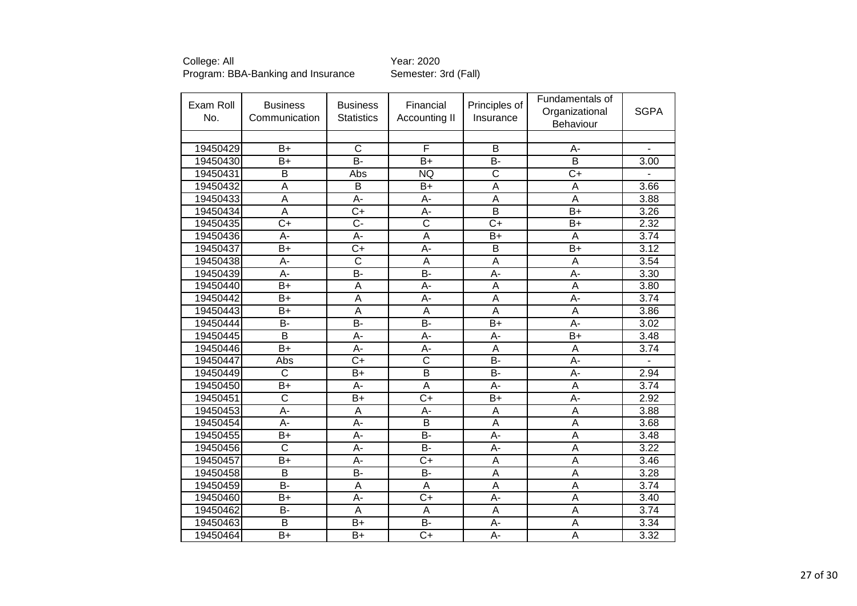| Exam Roll<br>No. | <b>Business</b><br>Communication | <b>Business</b><br><b>Statistics</b> | Financial<br>Accounting II | Principles of<br>Insurance | Fundamentals of<br>Organizational<br>Behaviour | <b>SGPA</b> |
|------------------|----------------------------------|--------------------------------------|----------------------------|----------------------------|------------------------------------------------|-------------|
|                  |                                  |                                      |                            |                            |                                                |             |
| 19450429         | $B+$                             | $\overline{C}$                       | F                          | B                          | A-                                             |             |
| 19450430         | $\overline{B}$                   | $\overline{B}$                       | $\overline{B+}$            | $\overline{B}$             | $\overline{\mathsf{B}}$                        | 3.00        |
| 19450431         | $\overline{B}$                   | Abs                                  | <b>NQ</b>                  | $\overline{\text{c}}$      | $\overline{C}$                                 |             |
| 19450432         | A                                | B                                    | $B+$                       | A                          | A                                              | 3.66        |
| 19450433         | $\overline{\mathsf{A}}$          | $\overline{A}$ -                     | $\overline{A}$ -           | $\overline{\mathsf{A}}$    | $\overline{A}$                                 | 3.88        |
| 19450434         | $\overline{A}$                   | $\overline{C}$                       | A-                         | $\overline{\mathsf{B}}$    | $B+$                                           | 3.26        |
| 19450435         | $\overline{C}$                   | $\overline{C}$                       | $\overline{\text{c}}$      | $C+$                       | $B+$                                           | 2.32        |
| 19450436         | A-                               | A-                                   | $\overline{A}$             | $\overline{B+}$            | A                                              | 3.74        |
| 19450437         | $B+$                             | $\overline{C}$                       | $\overline{A}$ -           | $\overline{B}$             | $B+$                                           | 3.12        |
| 19450438         | A-                               | C                                    | A                          | A                          | A                                              | 3.54        |
| 19450439         | A-                               | B-                                   | B-                         | A-                         | A-                                             | 3.30        |
| 19450440         | $B+$                             | A                                    | A-                         | A                          | A                                              | 3.80        |
| 19450442         | $B+$                             | $\overline{A}$                       | A-                         | A                          | A-                                             | 3.74        |
| 19450443         | $B+$                             | A                                    | A                          | A                          | A                                              | 3.86        |
| 19450444         | <b>B-</b>                        | $\overline{B}$                       | B-                         | $B+$                       | A-                                             | 3.02        |
| 19450445         | $\overline{B}$                   | A-                                   | A-                         | A-                         | $B+$                                           | 3.48        |
| 19450446         | $\overline{B+}$                  | A-                                   | A-                         | $\overline{\mathsf{A}}$    | $\overline{A}$                                 | 3.74        |
| 19450447         | Abs                              | $C+$                                 | $\overline{\text{c}}$      | <b>B-</b>                  | A-                                             |             |
| 19450449         | $\overline{\text{c}}$            | $B+$                                 | $\overline{\mathsf{B}}$    | $\overline{B}$             | $A -$                                          | 2.94        |
| 19450450         | $\overline{B+}$                  | A-                                   | $\overline{A}$             | $\overline{A}$ -           | $\overline{A}$                                 | 3.74        |
| 19450451         | $\overline{\text{c}}$            | $B+$                                 | $C+$                       | $B+$                       | A-                                             | 2.92        |
| 19450453         | $\overline{A}$ -                 | A                                    | A-                         | A                          | A                                              | 3.88        |
| 19450454         | $\overline{A}$ -                 | A-                                   | $\overline{\mathsf{B}}$    | $\overline{\mathsf{A}}$    | $\overline{A}$                                 | 3.68        |
| 19450455         | $B+$                             | A-                                   | $\overline{B}$             | A-                         | A                                              | 3.48        |
| 19450456         | $\overline{\text{c}}$            | A-                                   | <b>B-</b>                  | А-                         | A                                              | 3.22        |
| 19450457         | $\overline{B+}$                  | $\overline{A}$ -                     | $\overline{C+}$            | $\overline{\mathsf{A}}$    | $\overline{\mathsf{A}}$                        | 3.46        |
| 19450458         | B                                | <b>B-</b>                            | <b>B-</b>                  | A                          | A                                              | 3.28        |
| 19450459         | $\overline{B}$                   | A                                    | A                          | A                          | A                                              | 3.74        |
| 19450460         | $B+$                             | А-                                   | $C+$                       | А-                         | Α                                              | 3.40        |
| 19450462         | <b>B-</b>                        | A                                    | A                          | A                          | A                                              | 3.74        |
| 19450463         | B                                | $B+$                                 | <b>B-</b>                  | A-                         | A                                              | 3.34        |
| 19450464         | B+                               | $B+$                                 | $C+$                       | A-                         | A                                              | 3.32        |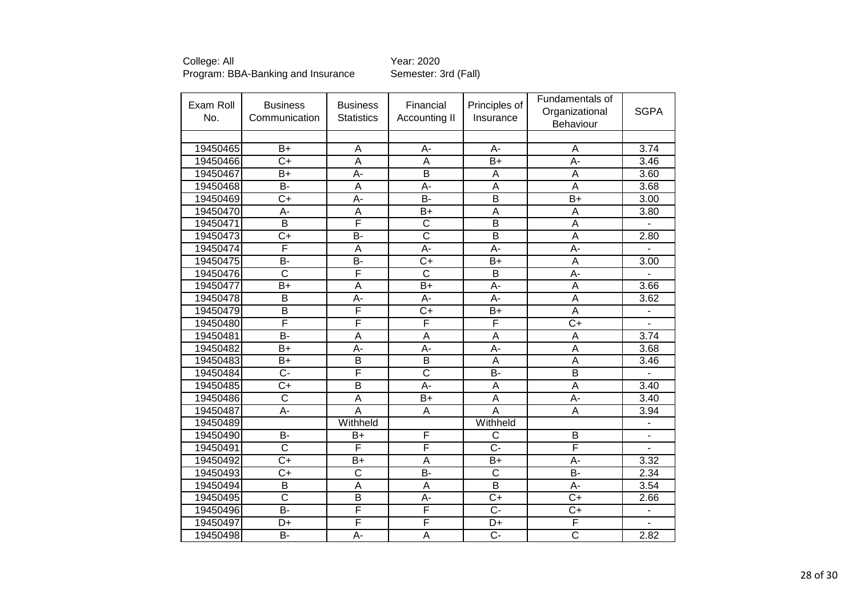| Exam Roll<br>No. | <b>Business</b><br>Communication | <b>Business</b><br><b>Statistics</b> | Financial<br>Accounting II | Principles of<br>Insurance | Fundamentals of<br>Organizational<br>Behaviour | <b>SGPA</b>              |
|------------------|----------------------------------|--------------------------------------|----------------------------|----------------------------|------------------------------------------------|--------------------------|
|                  |                                  |                                      |                            |                            |                                                |                          |
| 19450465         | $B+$                             | A                                    | A-                         | A-                         | A                                              | 3.74                     |
| 19450466         | $\overline{C+}$                  | $\overline{A}$                       | $\overline{A}$             | $\overline{B}$             | $A -$                                          | 3.46                     |
| 19450467         | B+                               | A-                                   | $\overline{B}$             | A                          | A                                              | 3.60                     |
| 19450468         | $\overline{B}$                   | A                                    | $A -$                      | A                          | $\overline{A}$                                 | 3.68                     |
| 19450469         | $\overline{C+}$                  | A-                                   | $\overline{B}$             | $\overline{\mathsf{B}}$    | $\overline{B}$                                 | 3.00                     |
| 19450470         | $\overline{A}$ -                 | A                                    | $B+$                       | $\overline{\mathsf{A}}$    | $\overline{A}$                                 | 3.80                     |
| 19450471         | B                                | F                                    | $\overline{\text{c}}$      | B                          | $\overline{A}$                                 |                          |
| 19450473         | $\overline{C+}$                  | $\overline{B}$                       | $\overline{\text{c}}$      | $\overline{\mathsf{B}}$    | $\overline{A}$                                 | 2.80                     |
| 19450474         | F                                | A                                    | A-                         | A-                         | A-                                             |                          |
| 19450475         | $\overline{B}$                   | $\overline{B}$                       | $\overline{C}$             | $B+$                       | $\overline{A}$                                 | 3.00                     |
| 19450476         | $\overline{\text{c}}$            | F                                    | $\overline{\text{c}}$      | $\overline{B}$             | $\overline{A}$ -                               |                          |
| 19450477         | $B+$                             | A                                    | $B+$                       | A-                         | $\overline{A}$                                 | 3.66                     |
| 19450478         | B                                | A-                                   | A-                         | A-                         | A                                              | 3.62                     |
| 19450479         | $\overline{B}$                   | F                                    | $\overline{C+}$            | $B+$                       | A                                              | $\overline{\phantom{a}}$ |
| 19450480         | F                                | F                                    | F                          | F                          | $\overline{C}$                                 | L.                       |
| 19450481         | <b>B-</b>                        | A                                    | A                          | A                          | A                                              | 3.74                     |
| 19450482         | $\overline{B+}$                  | A-                                   | $\overline{A}$             | A-                         | $\overline{A}$                                 | 3.68                     |
| 19450483         | $B+$                             | B                                    | $\overline{B}$             | A                          | A                                              | 3.46                     |
| 19450484         | $\overline{C}$ -                 | F                                    | $\overline{\text{c}}$      | $\overline{B}$             | $\overline{B}$                                 |                          |
| 19450485         | $\overline{C+}$                  | $\overline{\mathsf{B}}$              | $\overline{A}$             | $\overline{A}$             | $\overline{A}$                                 | 3.40                     |
| 19450486         | $\overline{\text{c}}$            | A                                    | $B+$                       | A                          | $A -$                                          | 3.40                     |
| 19450487         | A-                               | A                                    | A                          | $\overline{A}$             | A                                              | 3.94                     |
| 19450489         |                                  | Withheld                             |                            | Withheld                   |                                                |                          |
| 19450490         | <b>B-</b>                        | $B+$                                 | F                          | C                          | B                                              | ä,                       |
| 19450491         | $\overline{\text{c}}$            | F                                    | F                          | $\overline{C}$ -           | F                                              |                          |
| 19450492         | $\overline{C+}$                  | $\overline{B+}$                      | $\overline{A}$             | $\overline{B}$             | $\overline{A}$ -                               | 3.32                     |
| 19450493         | $\overline{C+}$                  | $\overline{C}$                       | $\overline{B}$             | $\overline{\text{c}}$      | $\overline{B}$                                 | 2.34                     |
| 19450494         | B                                | A                                    | A                          | $\overline{B}$             | A-                                             | 3.54                     |
| 19450495         | $\overline{\text{c}}$            | $\overline{B}$                       | $A -$                      | $C+$                       | $C+$                                           | 2.66                     |
| 19450496         | <b>B-</b>                        | F                                    | F                          | $\overline{C}$             | $C+$                                           | $\overline{\phantom{a}}$ |
| 19450497         | D+                               | F                                    | F                          | D+                         | F                                              | $\overline{a}$           |
| 19450498         | B-                               | A-                                   | A                          | Ċ-                         | $\overline{\mathsf{C}}$                        | 2.82                     |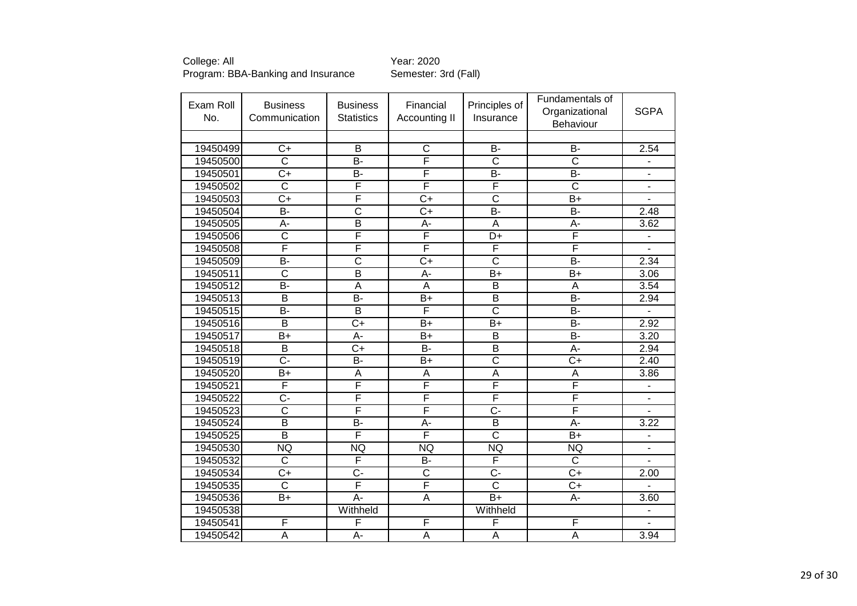| Exam Roll<br>No. | <b>Business</b><br>Communication | <b>Business</b><br><b>Statistics</b> | Financial<br>Accounting II | Principles of<br>Insurance | Fundamentals of<br>Organizational<br><b>Behaviour</b> | <b>SGPA</b>                  |
|------------------|----------------------------------|--------------------------------------|----------------------------|----------------------------|-------------------------------------------------------|------------------------------|
|                  |                                  |                                      |                            |                            |                                                       |                              |
| 19450499         | $C+$                             | B                                    | $\mathsf{C}$               | <b>B-</b>                  | <b>B-</b>                                             | 2.54                         |
| 19450500         | $\overline{\text{c}}$            | $\overline{B}$                       | F                          | $\overline{\text{c}}$      | $\overline{\text{c}}$                                 |                              |
| 19450501         | $\overline{C+}$                  | B-                                   | F                          | B-                         | $\overline{B}$                                        | $\blacksquare$               |
| 19450502         | $\overline{C}$                   | F                                    | F                          | F                          | $\overline{\text{c}}$                                 |                              |
| 19450503         | $\overline{C+}$                  | F                                    | $\overline{C+}$            | $\overline{\text{c}}$      | $\overline{B+}$                                       | $\overline{a}$               |
| 19450504         | B-                               | $\overline{\text{c}}$                | $\overline{C+}$            | B-                         | B-                                                    | 2.48                         |
| 19450505         | A-                               | B                                    | А-                         | A                          | А-                                                    | 3.62                         |
| 19450506         | $\overline{\text{c}}$            | F                                    | F                          | $\overline{\mathsf{D+}}$   | F                                                     |                              |
| 19450508         | F                                | F                                    | F                          | F                          | F                                                     |                              |
| 19450509         | $\overline{B}$                   | $\overline{\text{c}}$                | $\overline{C}$             | $\overline{\text{c}}$      | $\overline{B}$                                        | 2.34                         |
| 19450511         | $\overline{\text{c}}$            | $\overline{\mathsf{B}}$              | $\overline{A}$ -           | $\overline{B+}$            | $\overline{B+}$                                       | 3.06                         |
| 19450512         | <b>B-</b>                        | A                                    | A                          | B                          | A                                                     | 3.54                         |
| 19450513         | $\overline{B}$                   | $\overline{B}$                       | $B+$                       | $\overline{B}$             | $\overline{B}$                                        | 2.94                         |
| 19450515         | $\overline{B}$                   | $\overline{\mathsf{B}}$              | F                          | $\overline{\text{c}}$      | $\overline{B}$                                        | ÷                            |
| 19450516         | $\overline{B}$                   | $C+$                                 | $B+$                       | $B+$                       | <b>B-</b>                                             | 2.92                         |
| 19450517         | $B+$                             | A-                                   | $B+$                       | $\overline{\mathsf{B}}$    | $\overline{B}$                                        | 3.20                         |
| 19450518         | B                                | $C+$                                 | $B -$                      | $\overline{B}$             | A-                                                    | 2.94                         |
| 19450519         | $\overline{C}$                   | B-                                   | $B+$                       | $\overline{\text{c}}$      | $\overline{C}$                                        | 2.40                         |
| 19450520         | $B+$                             | A                                    | A                          | A                          | A                                                     | 3.86                         |
| 19450521         | F                                | F                                    | F                          | F                          | F                                                     | ä,                           |
| 19450522         | C-                               | F                                    | F                          | F                          | F                                                     |                              |
| 19450523         | $\overline{\text{c}}$            | F                                    | F                          | $\overline{C}$ -           | F                                                     |                              |
| 19450524         | $\overline{B}$                   | $\overline{B}$                       | A-                         | $\overline{\mathsf{B}}$    | $\overline{A}$ -                                      | 3.22                         |
| 19450525         | $\overline{\mathsf{B}}$          | F                                    | F                          | $\overline{\text{c}}$      | $\overline{B+}$                                       |                              |
| 19450530         | <b>NQ</b>                        | <b>NQ</b>                            | <b>NQ</b>                  | <b>NQ</b>                  | <b>NQ</b>                                             |                              |
| 19450532         | $\overline{\text{c}}$            | F                                    | $\overline{B}$             | F                          | $\overline{\text{c}}$                                 |                              |
| 19450534         | $\overline{C}$                   | C-                                   | $\overline{C}$             | $\overline{C}$ -           | $\overline{C}$                                        | 2.00                         |
| 19450535         | $\overline{\text{c}}$            | F                                    | F                          | $\overline{\text{c}}$      | $C+$                                                  |                              |
| 19450536         | $\overline{B+}$                  | $\overline{A}$ -                     | A                          | $\overline{B+}$            | A-                                                    | 3.60                         |
| 19450538         |                                  | Withheld                             |                            | Withheld                   |                                                       | $\qquad \qquad \blacksquare$ |
| 19450541         | F                                | F                                    | F                          | F                          | F                                                     | ä,                           |
| 19450542         | $\overline{A}$                   | $\overline{A}$ -                     | $\overline{A}$             | $\overline{\mathsf{A}}$    | $\overline{A}$                                        | 3.94                         |